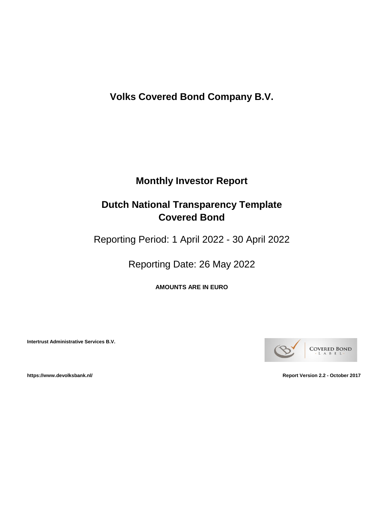**Volks Covered Bond Company B.V.**

# **Monthly Investor Report**

# **Dutch National Transparency Template Covered Bond**

Reporting Period: 1 April 2022 - 30 April 2022

Reporting Date: 26 May 2022

**AMOUNTS ARE IN EURO**

**Intertrust Administrative Services B.V.**



**https://www.devolksbank.nl/ Report Version 2.2 - October 2017**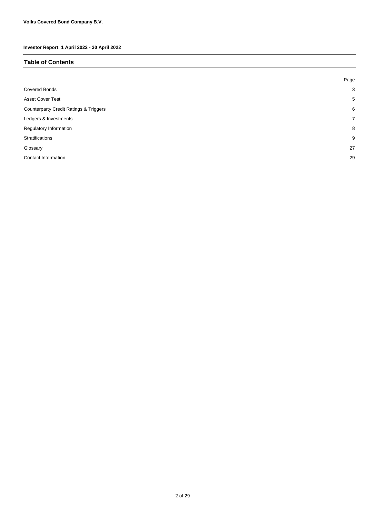#### **Table of Contents**

|                                                   | Page        |
|---------------------------------------------------|-------------|
| <b>Covered Bonds</b>                              | 3           |
| <b>Asset Cover Test</b>                           | 5           |
| <b>Counterparty Credit Ratings &amp; Triggers</b> | 6           |
| Ledgers & Investments                             | $7^{\circ}$ |
| Regulatory Information                            | 8           |
| Stratifications                                   | 9           |
| Glossary                                          | 27          |
| Contact Information                               | 29          |
|                                                   |             |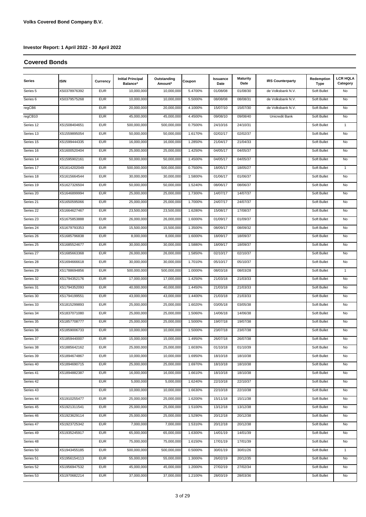#### **Covered Bonds**

| Series    | <b>ISIN</b>  | Currency   | <b>Initial Principal</b><br>Balance* | Outstanding<br>Amount* | Coupon  | <b>Issuance</b><br>Date | <b>Maturity</b><br>Date | <b>IRS Counterparty</b> | Redemption<br><b>Type</b> | <b>LCR HQLA</b><br>Category |
|-----------|--------------|------------|--------------------------------------|------------------------|---------|-------------------------|-------------------------|-------------------------|---------------------------|-----------------------------|
| Series 5  | XS0378976392 | <b>EUR</b> | 10,000,000                           | 10,000,000             | 5.4700% | 01/08/08                | 01/08/30                | de Volksbank N.V.       | Soft Bullet               | No                          |
| Series 6  | XS0379575268 | <b>EUR</b> | 10,000,000                           | 10,000,000             | 5.5000% | 08/08/08                | 08/08/31                | de Volksbank N.V.       | Soft Bullet               | No                          |
| regCB6    |              | <b>EUR</b> | 20,000,000                           | 20,000,000             | 4.1000% | 15/07/10                | 15/07/30                | de Volksbank N.V.       | Soft Bullet               | No                          |
| regCB10   |              | <b>EUR</b> | 45,000,000                           | 45,000,000             | 4.4500% | 09/08/10                | 09/08/40                | Unicredit Bank          | Soft Bullet               | No                          |
| Series 12 | XS1508404651 | <b>EUR</b> | 500,000,000                          | 500,000,000            | 0.7500% | 24/10/16                | 24/10/31                |                         | Soft Bullet               | $\mathbf{1}$                |
| Series 13 | XS1559895054 | <b>EUR</b> | 50,000,000                           | 50,000,000             | 1.6170% | 02/02/17                | 02/02/37                |                         | Soft Bullet               | No                          |
| Series 15 | XS1599444335 | <b>EUR</b> | 16,000,000                           | 16,000,000             | 1.2850% | 21/04/17                | 21/04/33                |                         | Soft Bullet               | No                          |
| Series 16 | XS1600520404 | <b>EUR</b> | 25,000,000                           | 25,000,000             | 1.4250% | 04/05/17                | 04/05/37                |                         | Soft Bullet               | No                          |
| Series 14 | XS1595902161 | <b>EUR</b> | 50,000,000                           | 50,000,000             | 1.4500% | 04/05/17                | 04/05/37                |                         | Soft Bullet               | No                          |
| Series 17 | XS1614202049 | <b>EUR</b> | 500,000,000                          | 500,000,000            | 0.7500% | 18/05/17                | 18/05/27                |                         | Soft Bullet               | $\mathbf{1}$                |
| Series 18 | XS1615664544 | <b>EUR</b> | 30,000,000                           | 30,000,000             | 1.5800% | 01/06/17                | 01/06/37                |                         | Soft Bullet               | No                          |
| Series 19 | XS1627326504 | <b>EUR</b> | 50,000,000                           | 50,000,000             | 1.5240% | 08/06/17                | 08/06/37                |                         | Soft Bullet               | No                          |
| Series 20 | XS1646899994 | <b>EUR</b> | 25,000,000                           | 25,000,000             | 1.7300% | 14/07/17                | 14/07/37                |                         | Soft Bullet               | No                          |
| Series 21 | XS1650595066 | <b>EUR</b> | 25,000,000                           | 25,000,000             | 1.7000% | 24/07/17                | 24/07/37                |                         | Soft Bullet               | No                          |
| Series 22 | XS1664627467 | <b>EUR</b> | 23,500,000                           | 23,500,000             | 1.6280% | 15/08/17                | 17/08/37                |                         | Soft Bullet               | No                          |
| Series 23 | XS1675853888 | <b>EUR</b> | 26,000,000                           | 26,000,000             | 1.6000% | 01/09/17                | 01/09/37                |                         | Soft Bullet               | No                          |
| Series 24 | XS1679793353 | <b>EUR</b> | 15,500,000                           | 15,500,000             | 1.3500% | 08/09/17                | 08/09/32                |                         | Soft Bullet               | No                          |
| Series 26 | XS1685796838 | <b>EUR</b> | 8,000,000                            | 8,000,000              | 1.6000% | 18/09/17                | 18/09/37                |                         | Soft Bullet               | No                          |
| Series 25 | XS1685524677 | <b>EUR</b> | 30,000,000                           | 30,000,000             | 1.5880% | 18/09/17                | 18/09/37                |                         | Soft Bullet               | <b>No</b>                   |
| Series 27 | XS1685663368 | <b>EUR</b> | 26,000,000                           | 26,000,000             | 1.5850% | 02/10/17                | 02/10/37                |                         | Soft Bullet               | No                          |
| Series 28 | XS1694666618 | <b>EUR</b> | 30,000,000                           | 30,000,000             | 1.7010% | 05/10/17                | 05/10/37                |                         | Soft Bullet               | No                          |
| Series 29 | XS1788694856 | <b>EUR</b> | 500,000,000                          | 500,000,000            | 1.0000% | 08/03/18                | 08/03/28                |                         | Soft Bullet               | $\mathbf{1}$                |
| Series 32 | XS1794352176 | <b>EUR</b> | 17,000,000                           | 17,000,000             | 1.4250% | 21/03/18                | 21/03/33                |                         | Soft Bullet               | No                          |
| Series 31 | XS1794352093 | <b>EUR</b> | 40,000,000                           | 40,000,000             | 1.4450% | 21/03/18                | 21/03/33                |                         | Soft Bullet               | No                          |
| Series 30 | XS1794199551 | <b>EUR</b> | 43,000,000                           | 43,000,000             | 1.4400% | 21/03/18                | 21/03/33                |                         | Soft Bullet               | No                          |
| Series 33 | XS1815299893 | <b>EUR</b> | 25,000,000                           | 25,000,000             | 1.6020% | 03/05/18                | 03/05/38                |                         | Soft Bullet               | No                          |
| Series 34 | XS1837071080 | <b>EUR</b> | 25,000,000                           | 25,000,000             | 1.5060% | 14/06/18                | 14/06/38                |                         | Soft Bullet               | No                          |
| Series 35 | XS1857708777 | <b>EUR</b> | 25,000,000                           | 25,000,000             | 1.5000% | 19/07/18                | 19/07/38                |                         | Soft Bullet               | No                          |
| Series 36 | XS1859006733 | <b>EUR</b> | 10,000,000                           | 10,000,000             | 1.5000% | 23/07/18                | 23/07/38                |                         | Soft Bullet               | No                          |
| Series 37 | XS1859440007 | <b>EUR</b> | 15,000,000                           | 15,000,000             | 1.4950% | 26/07/18                | 26/07/38                |                         | Soft Bullet               | No                          |
| Series 38 | XS1885642162 | EUR        | 25,000,000                           | 25,000,000             | 1.6030% | 01/10/18                | 01/10/39                |                         | Soft Bullet               |                             |
| Series 39 | XS1894674867 | <b>EUR</b> | 10,000,000                           | 10,000,000             | 1.6950% | 18/10/18                | 18/10/38                |                         | Soft Bullet               | No                          |
| Series 40 | XS1894690715 | EUR        | 25,000,000                           | 25,000,000             | 1.6970% | 18/10/18                | 18/10/38                |                         | Soft Bullet               | No                          |
| Series 41 | XS1894882387 | <b>EUR</b> | 16,000,000                           | 16,000,000             | 1.6610% | 18/10/18                | 18/10/38                |                         | Soft Bullet               | No                          |
| Series 42 |              | <b>EUR</b> | 5,000,000                            | 5,000,000              | 1.6240% | 22/10/18                | 22/10/37                |                         | Soft Bullet               | No                          |
| Series 43 |              | EUR        | 10,000,000                           | 10,000,000             | 1.6630% | 22/10/18                | 22/10/38                |                         | Soft Bullet               | No                          |
| Series 44 | XS1910255477 | <b>EUR</b> | 25,000,000                           | 25,000,000             | 1.6200% | 15/11/18                | 15/11/38                |                         | Soft Bullet               | No                          |
| Series 45 | XS1921311541 | <b>EUR</b> | 25,000,000                           | 25,000,000             | 1.5100% | 13/12/18                | 13/12/38                |                         | Soft Bullet               | No                          |
| Series 46 | XS1923629114 | <b>EUR</b> | 25,000,000                           | 25,000,000             | 1.5290% | 20/12/18                | 20/12/38                |                         | Soft Bullet               | No                          |
| Series 47 | XS1923725342 | EUR        | 7,000,000                            | 7,000,000              | 1.5310% | 20/12/18                | 20/12/38                |                         | Soft Bullet               | No                          |
| Series 49 | XS1935245917 | EUR        | 65,000,000                           | 65,000,000             | 1.6300% | 14/01/19                | 14/01/39                |                         | Soft Bullet               | No                          |
| Series 48 |              | <b>EUR</b> | 75,000,000                           | 75,000,000             | 1.6150% | 17/01/19                | 17/01/39                |                         | Soft Bullet               | No                          |
| Series 50 | XS1943455185 | EUR        | 500,000,000                          | 500,000,000            | 0.5000% | 30/01/19                | 30/01/26                |                         | Soft Bullet               | $\mathbf{1}$                |
| Series 51 | XS1956154113 | EUR        | 55,000,000                           | 55,000,000             | 1.3000% | 26/02/19                | 20/12/35                |                         | Soft Bullet               | No                          |
| Series 52 | XS1956947532 | EUR        | 45,000,000                           | 45,000,000             | 1.2000% | 27/02/19                | 27/02/34                |                         | Soft Bullet               | No                          |
| Series 53 | XS1970682214 | EUR        | 37,000,000                           | 37,000,000             | 1.2100% | 28/03/19                | 28/03/36                |                         | Soft Bullet               | No                          |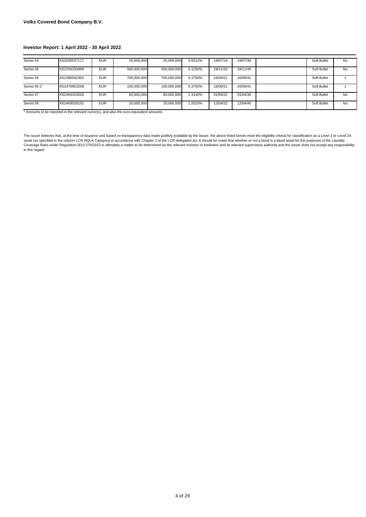| Series 54   | XS2030537117 | <b>EUR</b> | 25,000,000  | 25,000,000  | 0.8312% | 19/07/19 | 19/07/38 | Soft Bullet | <b>No</b> |
|-------------|--------------|------------|-------------|-------------|---------|----------|----------|-------------|-----------|
|             |              |            |             |             |         |          |          |             |           |
| Series 55   | XS2259193998 | <b>EUR</b> | 500,000,000 | 500,000,000 | 0.1250% | 19/11/20 | 19/11/40 | Soft Bullet | No        |
|             |              |            |             |             |         |          |          |             |           |
| Series 56   | XS2386592302 | <b>EUR</b> | 700.000.000 | 700.000.000 | 0.3750% | 16/09/21 | 16/09/41 | Soft Bullet |           |
|             |              |            |             |             |         |          |          |             |           |
| Series 56-2 | XS2476953208 | <b>EUR</b> | 100,000,000 | 100,000,000 | 0.3750% | 16/09/21 | 16/09/41 | Soft Bullet |           |
|             |              |            |             |             |         |          |          |             |           |
| Series 57   | XS2464415020 | <b>EUR</b> | 60.000.000  | 60.000.000  | 1.4140% | 01/04/22 | 01/04/38 | Soft Bullet | No        |
|             |              |            |             |             |         |          |          |             |           |
| Series 58   | XS2469026152 | <b>EUR</b> | 20,000,000  | 20,000,000  | 1.5520% | 12/04/22 | 12/04/40 | Soft Bullet | No        |
|             |              |            |             |             |         |          |          |             |           |

\* Amounts to be reported in the relevant currency, and also the euro-equivalent amounts

The issuer believes that, at the time of issuance and based on transparency data made publicly available by the issuer, the above listed bonds meet the eligibility criteria for classification as a Level 1 or Level 2A<br>asset in this regard.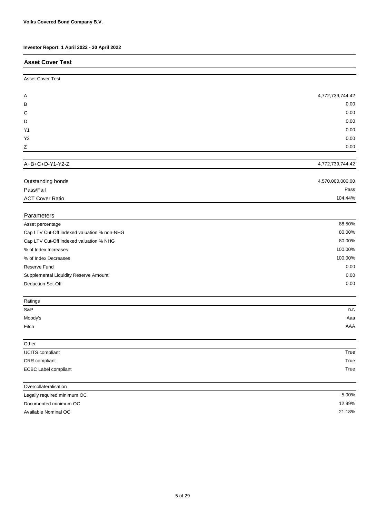| Investor Report: 1 April 2022 - 30 April 2022 |                  |
|-----------------------------------------------|------------------|
| <b>Asset Cover Test</b>                       |                  |
| <b>Asset Cover Test</b>                       |                  |
| A                                             | 4,772,739,744.42 |
| в                                             | 0.00             |
| C                                             | 0.00             |
| D                                             | 0.00             |
| Y1                                            | 0.00             |
| Y <sub>2</sub>                                | 0.00             |
| Ζ                                             | 0.00             |
| A+B+C+D-Y1-Y2-Z                               | 4,772,739,744.42 |
|                                               |                  |
| Outstanding bonds                             | 4,570,000,000.00 |
| Pass/Fail                                     | Pass             |
| <b>ACT Cover Ratio</b>                        | 104.44%          |
| Parameters                                    |                  |
| Asset percentage                              | 88.50%           |
| Cap LTV Cut-Off indexed valuation % non-NHG   | 80.00%           |
| Cap LTV Cut-Off indexed valuation % NHG       | 80.00%           |
| % of Index Increases                          | 100.00%          |
| % of Index Decreases                          | 100.00%          |
| Reserve Fund                                  | 0.00             |
| Supplemental Liquidity Reserve Amount         | 0.00             |
| <b>Deduction Set-Off</b>                      | 0.00             |
| Ratings                                       |                  |
| S&P                                           | n.r.             |
| Moody's                                       | Aaa              |
| Fitch                                         | AAA              |
| Other                                         |                  |
| UCITS compliant                               | True             |
| CRR compliant                                 | True             |
| <b>ECBC Label compliant</b>                   | True             |
| Overcollateralisation                         |                  |
| Legally required minimum OC                   | 5.00%            |
| Documented minimum OC                         | 12.99%           |

Available Nominal OC

21.18%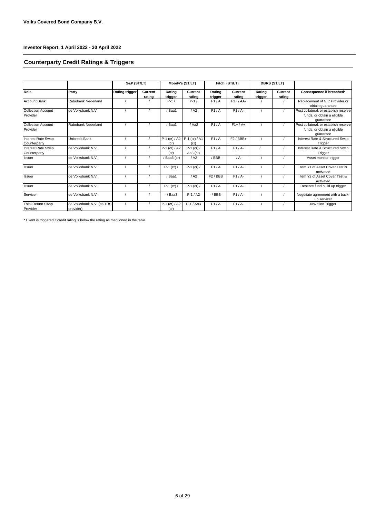## **Counterparty Credit Ratings & Triggers**

|                                           |                                        | S&P (ST/LT)           |                   |                                     | Moody's (ST/LT)          |                   | Fitch (ST/LT)     |                   | <b>DBRS (ST/LT)</b> |                                                                                   |
|-------------------------------------------|----------------------------------------|-----------------------|-------------------|-------------------------------------|--------------------------|-------------------|-------------------|-------------------|---------------------|-----------------------------------------------------------------------------------|
| Role                                      | Party                                  | <b>Rating trigger</b> | Current<br>rating | Rating<br>trigger                   | Current<br>rating        | Rating<br>trigger | Current<br>rating | Rating<br>trigger | Current<br>rating   | Consequence if breached*                                                          |
| <b>Account Bank</b>                       | Rabobank Nederland                     |                       |                   | $P-1/$                              | $P-1/$                   | F1/A              | $F1+ / AA-$       |                   |                     | Replacement of GIC Provider or<br>obtain quarantee                                |
| <b>Collection Account</b><br>Provider     | de Volksbank N.V.                      |                       |                   | Baa1                                | / A2                     | F1/A              | $F1/A-$           |                   |                     | Post collateral, or establish reserve<br>funds, or obtain a eligible<br>quarantee |
| <b>Collection Account</b><br>Provider     | Rabobank Nederland                     |                       |                   | Baa1                                | / Aa2                    | F1/A              | $F1+ / A+$        |                   |                     | Post collateral, or establish reserve<br>funds, or obtain a eligible<br>quarantee |
| <b>Interest Rate Swap</b><br>Counterparty | Unicredit Bank                         |                       |                   | P-1 (cr) / A2 P-1 (cr) / A1<br>(cr) | (cr)                     | F1/A              | $F2/BBB+$         |                   |                     | Interest Rate & Structured Swap<br>Trigger                                        |
| <b>Interest Rate Swap</b><br>Counterparty | de Volksbank N.V.                      |                       |                   | $P-1$ (cr) / A2<br>(cr)             | $P-1$ (cr) /<br>Aa3 (cr) | F1/A              | $F1/A-$           |                   |                     | Interest Rate & Structured Swap<br>Trigger                                        |
| <b>Issuer</b>                             | de Volksbank N.V.                      |                       |                   | /Baa3 (cr)                          | / A2                     | /BBB-             | $/A -$            |                   |                     | Asset monitor trigger                                                             |
| <b>Issuer</b>                             | de Volksbank N.V.                      |                       |                   | $P-1$ (cr) /                        | $P-1$ (cr) /             | F1/A              | $F1/A-$           |                   |                     | Item Y1 of Asset Cover Test is<br>activated                                       |
| <b>Issuer</b>                             | de Volksbank N.V.                      |                       |                   | Baa1                                | / A2                     | $F2$ / BBB        | $F1/A-$           |                   |                     | Item Y2 of Asset Cover Test is<br>activated                                       |
| <b>Issuer</b>                             | de Volksbank N.V.                      |                       |                   | $P-1$ (cr) /                        | $P-1$ (cr) /             | F1/A              | $F1/A$ -          |                   |                     | Reserve fund build up trigger                                                     |
| Servicer                                  | de Volksbank N.V.                      |                       |                   | $-$ / Baa3                          | $P-1/A2$                 | $-$ / BBB $-$     | $F1/A-$           |                   |                     | Negotiate agreement with a back-<br>up servicer                                   |
| <b>Total Return Swap</b><br>Provider      | de Volksbank N.V. (as TRS<br>provider) |                       |                   | $P-1$ (cr) / A2<br>(cr)             | $P-1/AA3$                | F1/A              | $F1/A$ -          |                   |                     | <b>Novation Trigger</b>                                                           |

\* Event is triggered if credit rating is below the rating as mentioned in the table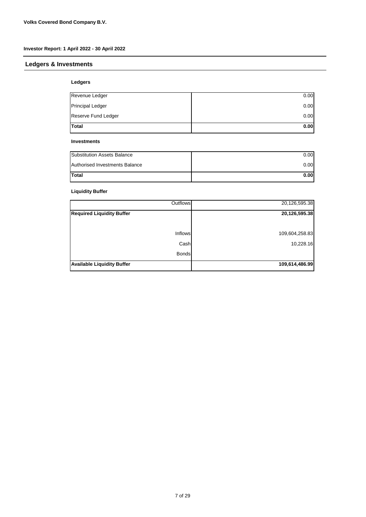## **Ledgers & Investments**

#### **Ledgers**

| Revenue Ledger          | 0.00 |
|-------------------------|------|
| <b>Principal Ledger</b> | 0.00 |
| Reserve Fund Ledger     | 0.00 |
| <b>Total</b>            | 0.00 |

#### **Investments**

| <b>Substitution Assets Balance</b> | 0.00  |
|------------------------------------|-------|
| Authorised Investments Balance     | 0.00  |
| <b>Total</b>                       | 0.001 |

#### **Liquidity Buffer**

| <b>Outflows</b>                   | 20,126,595.38  |
|-----------------------------------|----------------|
| <b>Required Liquidity Buffer</b>  | 20,126,595.38  |
|                                   |                |
| <b>Inflows</b>                    | 109,604,258.83 |
| Cash                              | 10,228.16      |
| <b>Bonds</b>                      |                |
| <b>Available Liquidity Buffer</b> | 109,614,486.99 |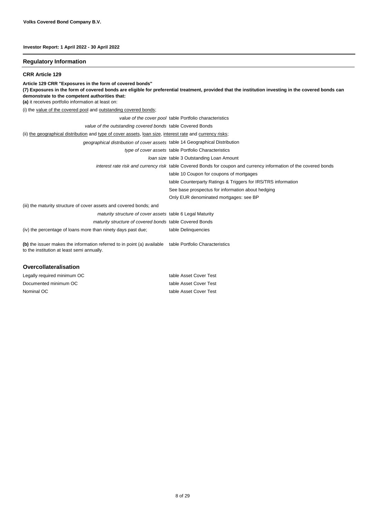#### **Regulatory Information**

**CRR Article 129**

(i) the value of the covered pool and outstanding covered bonds; (ii) the geographical distribution and type of cover assets, loan size, interest rate and currency risks; (iii) the maturity structure of cover assets and covered bonds; and *value of the cover pool* table Portfolio characteristics *value of the outstanding covered bonds* table Covered Bonds **Article 129 CRR "Exposures in the form of covered bonds" (7) Exposures in the form of covered bonds are eligible for preferential treatment, provided that the institution investing in the covered bonds can demonstrate to the competent authorities that: (a)** it receives portfolio information at least on: *geographical distribution of cover assets* table 14 Geographical Distribution *type of cover assets* table Portfolio Characteristics *loan size* table 3 Outstanding Loan Amount *interest rate risk and currency risk* table Covered Bonds for coupon and currency information of the covered bonds table 10 Coupon for coupons of mortgages table Counterparty Ratings & Triggers for IRS/TRS information See base prospectus for information about hedging Only EUR denominated mortgages: see BP *maturity structure of cover assets* table 6 Legal Maturity *maturity structure of covered bonds* table Covered Bonds (iv) the percentage of loans more than ninety days past due; table Delinquencies **(b)** the issuer makes the information referred to in point (a) available table Portfolio Characteristics to the institution at least semi annually. **Overcollateralisation**

| Legally required minimum OC | table Asset Cover Test |
|-----------------------------|------------------------|
| Documented minimum OC       | table Asset Cover Test |
| Nominal OC                  | table Asset Cover Test |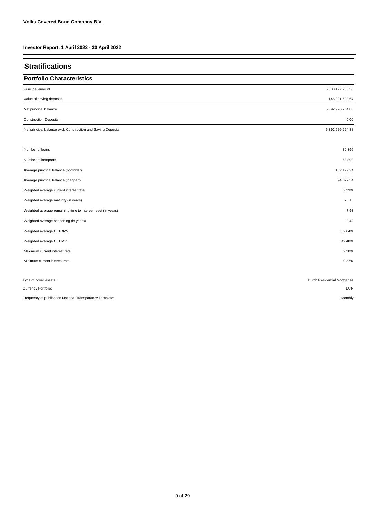| <b>Stratifications</b>                                       |                             |
|--------------------------------------------------------------|-----------------------------|
| <b>Portfolio Characteristics</b>                             |                             |
| Principal amount                                             | 5,538,127,958.55            |
| Value of saving deposits                                     | 145,201,693.67              |
| Net principal balance                                        | 5,392,926,264.88            |
| <b>Construction Deposits</b>                                 | 0.00                        |
| Net principal balance excl. Construction and Saving Deposits | 5,392,926,264.88            |
| Number of loans                                              | 30,396                      |
| Number of loanparts                                          | 58,899                      |
| Average principal balance (borrower)                         | 182,199.24                  |
| Average principal balance (loanpart)                         | 94,027.54                   |
| Weighted average current interest rate                       | 2.23%                       |
| Weighted average maturity (in years)                         | 20.18                       |
| Weighted average remaining time to interest reset (in years) | 7.93                        |
| Weighted average seasoning (in years)                        | 9.42                        |
| Weighted average CLTOMV                                      | 69.64%                      |
| Weighted average CLTIMV                                      | 49.40%                      |
| Maximum current interest rate                                | 9.20%                       |
| Minimum current interest rate                                | 0.27%                       |
| Type of cover assets:                                        | Dutch Residential Mortgages |
| Currency Portfolio:                                          | <b>EUR</b>                  |
| Frequency of publication National Transparancy Template:     | Monthly                     |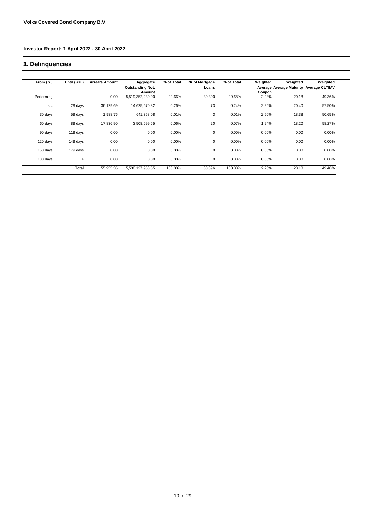## **1. Delinquencies**

| From $(>)$ | Until $($ <= $)$ | <b>Arrears Amount</b> | Aggregate<br><b>Outstanding Not.</b><br>Amount | % of Total | Nr of Mortgage<br>Loans | % of Total | Weighted<br><b>Coupon</b> | Weighted | Weighted<br>Average Average Maturity Average CLTIMV |
|------------|------------------|-----------------------|------------------------------------------------|------------|-------------------------|------------|---------------------------|----------|-----------------------------------------------------|
| Performing |                  | 0.00                  | 5,519,352,230.00                               | 99.66%     | 30,300                  | 99.68%     | 2.23%                     | 20.18    | 49.36%                                              |
| $\leq$     | 29 days          | 36,129.69             | 14,625,670.82                                  | 0.26%      | 73                      | 0.24%      | 2.26%                     | 20.40    | 57.50%                                              |
| 30 days    | 59 days          | 1,988.76              | 641,358.08                                     | 0.01%      | 3                       | 0.01%      | 2.50%                     | 18.38    | 50.65%                                              |
| 60 days    | 89 days          | 17,836.90             | 3,508,699.65                                   | 0.06%      | 20                      | 0.07%      | 1.94%                     | 18.20    | 58.27%                                              |
| 90 days    | 119 days         | 0.00                  | 0.00                                           | 0.00%      | $\mathbf 0$             | 0.00%      | 0.00%                     | 0.00     | $0.00\%$                                            |
| 120 days   | 149 days         | 0.00                  | 0.00                                           | 0.00%      | 0                       | 0.00%      | 0.00%                     | 0.00     | 0.00%                                               |
| 150 days   | 179 days         | 0.00                  | 0.00                                           | 0.00%      | 0                       | 0.00%      | 0.00%                     | 0.00     | 0.00%                                               |
| 180 days   | $\geq$           | 0.00                  | 0.00                                           | 0.00%      | $\mathbf 0$             | 0.00%      | $0.00\%$                  | 0.00     | 0.00%                                               |
|            | Total            | 55,955.35             | 5,538,127,958.55                               | 100.00%    | 30,396                  | 100.00%    | 2.23%                     | 20.18    | 49.40%                                              |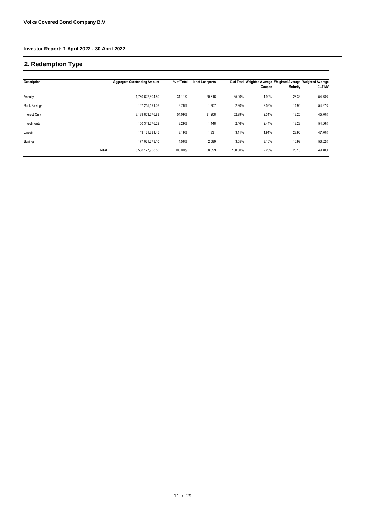# **2. Redemption Type**

| <b>Description</b>  |       | <b>Aggregate Outstanding Amount</b> | % of Total | Nr of Loanparts |         | Coupon | Maturity | % of Total Weighted Average Weighted Average Weighted Average<br><b>CLTIMV</b> |
|---------------------|-------|-------------------------------------|------------|-----------------|---------|--------|----------|--------------------------------------------------------------------------------|
| Annuity             |       | 1,760,622,804.80                    | 31.11%     | 20,616          | 35.00%  | 1.99%  | 25.33    | 54.78%                                                                         |
| <b>Bank Savings</b> |       | 167.215.191.08                      | 3.76%      | 1,707           | 2.90%   | 2.53%  | 14.96    | 54.87%                                                                         |
| Interest Only       |       | 3,139,803,676.83                    | 54.09%     | 31,208          | 52.99%  | 2.31%  | 18.26    | 45.70%                                                                         |
| Investments         |       | 150.343.676.29                      | 3.29%      | 1,448           | 2.46%   | 2.44%  | 13.28    | 54.06%                                                                         |
| Lineair             |       | 143, 121, 331. 45                   | 3.19%      | 1,831           | 3.11%   | 1.91%  | 23.90    | 47.70%                                                                         |
| Savings             |       | 177.021.278.10                      | 4.56%      | 2,089           | 3.55%   | 3.10%  | 10.99    | 53.62%                                                                         |
|                     | Total | 5,538,127,958.55                    | 100.00%    | 58,899          | 100.00% | 2.23%  | 20.18    | 49.40%                                                                         |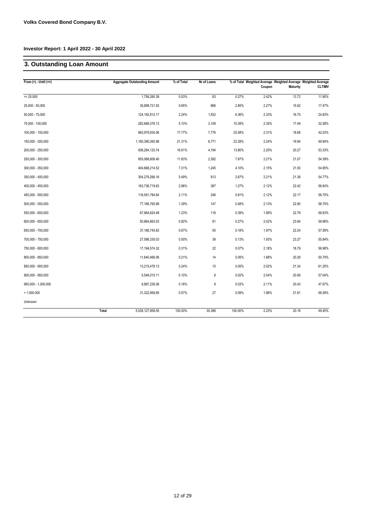# **3. Outstanding Loan Amount**

| From $(>)$ - Until $(<=)$ | <b>Aggregate Outstanding Amount</b> | % of Total | Nr of Loans |         | Coupon | % of Total Weighted Average Weighted Average Weighted Average<br><b>Maturity</b> | <b>CLTIMV</b> |
|---------------------------|-------------------------------------|------------|-------------|---------|--------|----------------------------------------------------------------------------------|---------------|
| $= 25.000$                | 1,758,280.39                        | 0.03%      | 83          | 0.27%   | 2.42%  | 13.72                                                                            | 11.90%        |
| 25,000 - 50,000           | 35,899,721.93                       | 0.65%      | 866         | 2.85%   | 2.27%  | 15.92                                                                            | 17.47%        |
| $50,000 - 75,000$         | 124, 192, 812. 17                   | 2.24%      | 1,932       | 6.36%   | 2.33%  | 16.75                                                                            | 24.83%        |
| 75,000 - 100,000          | 282,689,376.13                      | 5.10%      | 3,159       | 10.39%  | 2.35%  | 17.49                                                                            | 32.58%        |
| 100,000 - 150,000         | 983,979,930.06                      | 17.77%     | 7,776       | 25.58%  | 2.31%  | 18.68                                                                            | 42.03%        |
| 150,000 - 200,000         | 1,180,390,265.98                    | 21.31%     | 6,771       | 22.28%  | 2.24%  | 19.94                                                                            | 49.94%        |
| 200,000 - 250,000         | 936,284,120.74                      | 16.91%     | 4,194       | 13.80%  | 2.25%  | 20.27                                                                            | 53.33%        |
| 250,000 - 300,000         | 655,068,606.40                      | 11.83%     | 2,392       | 7.87%   | 2.21%  | 21.07                                                                            | 54.39%        |
| 300,000 - 350,000         | 404,668,214.52                      | 7.31%      | 1,245       | 4.10%   | 2.15%  | 21.93                                                                            | 54.85%        |
| 350,000 - 400,000         | 304,279,266.16                      | 5.49%      | 813         | 2.67%   | 2.21%  | 21.38                                                                            | 54.77%        |
| 400,000 - 450,000         | 163,736,719.83                      | 2.96%      | 387         | 1.27%   | 2.12%  | 22.42                                                                            | 56.64%        |
| 450,000 - 500,000         | 116,591,784.64                      | 2.11%      | 246         | 0.81%   | 2.12%  | 22.17                                                                            | 56.70%        |
| 500,000 - 550,000         | 77,166,765.89                       | 1.39%      | 147         | 0.48%   | 2.13%  | 22.90                                                                            | 58.75%        |
| 550,000 - 600,000         | 67,984,624.49                       | 1.23%      | 118         | 0.39%   | 1.99%  | 22.79                                                                            | 56.63%        |
| 600,000 - 650,000         | 50,864,663.53                       | 0.92%      | 81          | 0.27%   | 2.02%  | 23.84                                                                            | 59.96%        |
| 650,000 - 700,000         | 37, 166, 745.83                     | 0.67%      | 55          | 0.18%   | 1.97%  | 22.24                                                                            | 57.59%        |
| 700,000 - 750,000         | 27,586,330.03                       | 0.50%      | 38          | 0.13%   | 1.93%  | 23.27                                                                            | 55.84%        |
| 750,000 - 800,000         | 17, 194, 574. 32                    | 0.31%      | 22          | 0.07%   | 2.18%  | 18.79                                                                            | 56.98%        |
| 800,000 - 850,000         | 11,640,466.06                       | 0.21%      | 14          | 0.05%   | 1.88%  | 20.26                                                                            | 50.70%        |
| 850,000 - 900,000         | 13,215,476.13                       | 0.24%      | 15          | 0.05%   | 2.02%  | 21.34                                                                            | 61.20%        |
| $900,000 - 950,000$       | 5,549,015.11                        | 0.10%      | 6           | 0.02%   | 2.04%  | 20.06                                                                            | 57.04%        |
| 950,000 - 1,000,000       | 8,897,239.36                        | 0.16%      | 9           | 0.03%   | 2.11%  | 20.43                                                                            | 47.67%        |
| > 1.000.000               | 31,322,958.85                       | 0.57%      | $27\,$      | 0.09%   | 1.96%  | 21.81                                                                            | 56.59%        |
| Unknown                   |                                     |            |             |         |        |                                                                                  |               |
|                           | Total<br>5,538,127,958.55           | 100.00%    | 30,396      | 100.00% | 2.23%  | 20.18                                                                            | 49.40%        |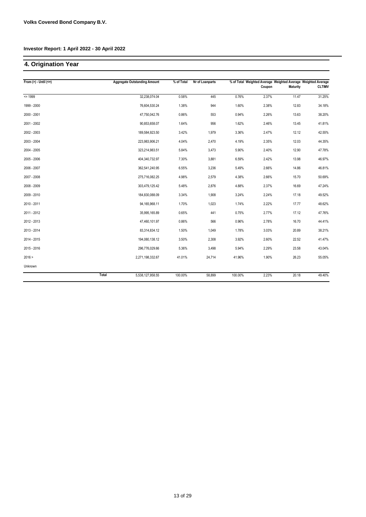# **4. Origination Year**

| From $(>) -$ Until $(<=)$ |       | <b>Aggregate Outstanding Amount</b> | % of Total | Nr of Loanparts |         | % of Total Weighted Average Weighted Average Weighted Average<br>Coupon | <b>Maturity</b> | <b>CLTIMV</b> |
|---------------------------|-------|-------------------------------------|------------|-----------------|---------|-------------------------------------------------------------------------|-----------------|---------------|
| $= 1999$                  |       | 32,238,074.04                       | 0.58%      | 445             | 0.76%   | 2.37%                                                                   | 11.47           | 31.25%        |
| 1999 - 2000               |       | 76,604,530.24                       | 1.38%      | 944             | 1.60%   | 2.38%                                                                   | 12.83           | 34.18%        |
| 2000 - 2001               |       | 47,750,042.76                       | 0.86%      | 553             | 0.94%   | 2.26%                                                                   | 13.63           | 38.20%        |
| 2001 - 2002               |       | 90,853,658.07                       | 1.64%      | 956             | 1.62%   | 2.46%                                                                   | 13.45           | 41.81%        |
| 2002 - 2003               |       | 189,584,923.50                      | 3.42%      | 1,979           | 3.36%   | 2.47%                                                                   | 12.12           | 42.55%        |
| 2003 - 2004               |       | 223,983,906.21                      | 4.04%      | 2,470           | 4.19%   | 2.35%                                                                   | 12.03           | 44.35%        |
| 2004 - 2005               |       | 323,214,983.51                      | 5.84%      | 3,473           | 5.90%   | 2.40%                                                                   | 12.90           | 47.78%        |
| 2005 - 2006               |       | 404,340,732.97                      | 7.30%      | 3,881           | 6.59%   | 2.42%                                                                   | 13.98           | 46.97%        |
| 2006 - 2007               |       | 362,541,240.95                      | 6.55%      | 3,236           | 5.49%   | 2.66%                                                                   | 14.86           | 46.81%        |
| 2007 - 2008               |       | 275,716,082.25                      | 4.98%      | 2,579           | 4.38%   | 2.66%                                                                   | 15.70           | 50.69%        |
| 2008 - 2009               |       | 303,479,125.42                      | 5.48%      | 2,876           | 4.88%   | 2.37%                                                                   | 16.69           | 47.24%        |
| 2009 - 2010               |       | 184,830,088.09                      | 3.34%      | 1,908           | 3.24%   | 2.24%                                                                   | 17.18           | 49.52%        |
| 2010 - 2011               |       | 94,165,968.11                       | 1.70%      | 1,023           | 1.74%   | 2.22%                                                                   | 17.77           | 48.62%        |
| 2011 - 2012               |       | 35,995,165.89                       | 0.65%      | 441             | 0.75%   | 2.77%                                                                   | 17.12           | 47.76%        |
| 2012 - 2013               |       | 47,460,101.97                       | 0.86%      | 566             | 0.96%   | 2.78%                                                                   | 16.70           | 44.41%        |
| 2013 - 2014               |       | 83,314,834.12                       | 1.50%      | 1,049           | 1.78%   | 3.03%                                                                   | 20.89           | 38.21%        |
| 2014 - 2015               |       | 194,080,138.12                      | 3.50%      | 2,308           | 3.92%   | 2.60%                                                                   | 22.52           | 41.47%        |
| 2015 - 2016               |       | 296,776,029.66                      | 5.36%      | 3,498           | 5.94%   | 2.29%                                                                   | 23.58           | 43.04%        |
| 2016 >                    |       | 2,271,198,332.67                    | 41.01%     | 24,714          | 41.96%  | 1.90%                                                                   | 26.23           | 55.05%        |
| Unknown                   |       |                                     |            |                 |         |                                                                         |                 |               |
|                           | Total | 5,538,127,958.55                    | 100.00%    | 58,899          | 100.00% | 2.23%                                                                   | 20.18           | 49.40%        |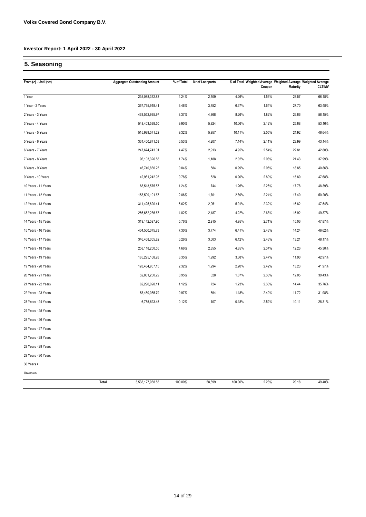# **5. Seasoning**

| From $(>)$ - Until $(<=)$ | <b>Aggregate Outstanding Amount</b> | % of Total | Nr of Loanparts |         | Coupon | <b>Maturity</b> | % of Total Weighted Average Weighted Average Weighted Average<br><b>CLTIMV</b> |
|---------------------------|-------------------------------------|------------|-----------------|---------|--------|-----------------|--------------------------------------------------------------------------------|
| 1 Year                    | 235,088,352.83                      | 4.24%      | 2,509           | 4.26%   | 1.53%  | 28.57           | 66.18%                                                                         |
| 1 Year - 2 Years          | 357,765,918.41                      | 6.46%      | 3,752           | 6.37%   | 1.64%  | 27.70           | 63.48%                                                                         |
| 2 Years - 3 Years         | 463,552,935.97                      | 8.37%      | 4,868           | 8.26%   | 1.82%  | 26.66           | 58.15%                                                                         |
| 3 Years - 4 Years         | 548,403,538.50                      | 9.90%      | 5,924           | 10.06%  | 2.12%  | 25.68           | 53.16%                                                                         |
| 4 Years - 5 Years         | 515,989,571.22                      | 9.32%      | 5,957           | 10.11%  | 2.05%  | 24.92           | 46.64%                                                                         |
| 5 Years - 6 Years         | 361,400,871.53                      | 6.53%      | 4,207           | 7.14%   | 2.11%  | 23.99           | 43.14%                                                                         |
| 6 Years - 7 Years         | 247,674,743.01                      | 4.47%      | 2,913           | 4.95%   | 2.54%  | 22.81           | 42.80%                                                                         |
| 7 Years - 8 Years         | 96,103,326.58                       | 1.74%      | 1,188           | 2.02%   | 2.98%  | 21.43           | 37.99%                                                                         |
| 8 Years - 9 Years         | 46,740,830.25                       | 0.84%      | 584             | 0.99%   | 2.95%  | 18.85           | 40.86%                                                                         |
| 9 Years - 10 Years        | 42,981,242.93                       | 0.78%      | 528             | 0.90%   | 2.80%  | 15.89           | 47.68%                                                                         |
| 10 Years - 11 Years       | 68,513,575.57                       | 1.24%      | 744             | 1.26%   | 2.26%  | 17.78           | 48.39%                                                                         |
| 11 Years - 12 Years       | 158,509,101.67                      | 2.86%      | 1,701           | 2.89%   | 2.24%  | 17.40           | 50.20%                                                                         |
| 12 Years - 13 Years       | 311,425,620.41                      | 5.62%      | 2,951           | 5.01%   | 2.32%  | 16.82           | 47.54%                                                                         |
| 13 Years - 14 Years       | 266,662,236.67                      | 4.82%      | 2,487           | 4.22%   | 2.63%  | 15.92           | 49.37%                                                                         |
| 14 Years - 15 Years       | 319,142,597.90                      | 5.76%      | 2,915           | 4.95%   | 2.71%  | 15.06           | 47.87%                                                                         |
| 15 Years - 16 Years       | 404,500,075.73                      | 7.30%      | 3,774           | 6.41%   | 2.43%  | 14.24           | 46.62%                                                                         |
| 16 Years - 17 Years       | 346,468,055.82                      | 6.26%      | 3,603           | 6.12%   | 2.43%  | 13.21           | 48.17%                                                                         |
| 17 Years - 18 Years       | 258,118,250.55                      | 4.66%      | 2,855           | 4.85%   | 2.34%  | 12.26           | 45.30%                                                                         |
| 18 Years - 19 Years       | 185,295,168.28                      | 3.35%      | 1,992           | 3.38%   | 2.47%  | 11.90           | 42.97%                                                                         |
| 19 Years - 20 Years       | 128,434,957.15                      | 2.32%      | 1,294           | 2.20%   | 2.42%  | 13.23           | 41.97%                                                                         |
| 20 Years - 21 Years       | 52,831,250.22                       | 0.95%      | 628             | 1.07%   | 2.36%  | 12.05           | 39.43%                                                                         |
| 21 Years - 22 Years       | 62,290,028.11                       | 1.12%      | 724             | 1.23%   | 2.33%  | 14.44           | 35.76%                                                                         |
| 22 Years - 23 Years       | 53,480,085.79                       | 0.97%      | 694             | 1.18%   | 2.40%  | 11.72           | 31.98%                                                                         |
| 23 Years - 24 Years       | 6,755,623.45                        | 0.12%      | 107             | 0.18%   | 2.52%  | 10.11           | 28.31%                                                                         |
| 24 Years - 25 Years       |                                     |            |                 |         |        |                 |                                                                                |
| 25 Years - 26 Years       |                                     |            |                 |         |        |                 |                                                                                |
| 26 Years - 27 Years       |                                     |            |                 |         |        |                 |                                                                                |
| 27 Years - 28 Years       |                                     |            |                 |         |        |                 |                                                                                |
| 28 Years - 29 Years       |                                     |            |                 |         |        |                 |                                                                                |
| 29 Years - 30 Years       |                                     |            |                 |         |        |                 |                                                                                |
| 30 Years >                |                                     |            |                 |         |        |                 |                                                                                |
| Unknown                   |                                     |            |                 |         |        |                 |                                                                                |
|                           | 5,538,127,958.55<br>Total           | 100.00%    | 58,899          | 100.00% | 2.23%  | 20.18           | 49.40%                                                                         |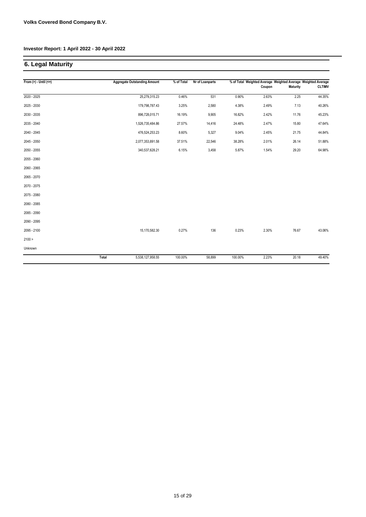# **6. Legal Maturity**

| From $(>)$ - Until $(<=)$ |              | <b>Aggregate Outstanding Amount</b> | % of Total | Nr of Loanparts |         |        | % of Total Weighted Average Weighted Average Weighted Average |               |
|---------------------------|--------------|-------------------------------------|------------|-----------------|---------|--------|---------------------------------------------------------------|---------------|
|                           |              |                                     |            |                 |         | Coupon | <b>Maturity</b>                                               | <b>CLTIMV</b> |
| 2020 - 2025               |              | 25,279,315.23                       | 0.46%      | 531             | 0.90%   | 2.63%  | 2.25                                                          | 44.35%        |
| 2025 - 2030               |              | 179,798,787.43                      | 3.25%      | 2,580           | 4.38%   | 2.49%  | 7.13                                                          | 40.26%        |
| 2030 - 2035               |              | 896,728,015.71                      | 16.19%     | 9,905           | 16.82%  | 2.42%  | 11.76                                                         | 45.23%        |
| 2035 - 2040               |              | 1,526,735,484.86                    | 27.57%     | 14,416          | 24.48%  | 2.47%  | 15.80                                                         | 47.64%        |
| 2040 - 2045               |              | 476,524,253.23                      | 8.60%      | 5,327           | 9.04%   | 2.45%  | 21.75                                                         | 44.84%        |
| 2045 - 2050               |              | 2,077,353,891.58                    | 37.51%     | 22,546          | 38.28%  | 2.01%  | 26.14                                                         | 51.88%        |
| 2050 - 2055               |              | 340,537,628.21                      | 6.15%      | 3,458           | 5.87%   | 1.54%  | 29.20                                                         | 64.98%        |
| 2055 - 2060               |              |                                     |            |                 |         |        |                                                               |               |
| 2060 - 2065               |              |                                     |            |                 |         |        |                                                               |               |
| 2065 - 2070               |              |                                     |            |                 |         |        |                                                               |               |
| 2070 - 2075               |              |                                     |            |                 |         |        |                                                               |               |
| 2075 - 2080               |              |                                     |            |                 |         |        |                                                               |               |
| 2080 - 2085               |              |                                     |            |                 |         |        |                                                               |               |
| 2085 - 2090               |              |                                     |            |                 |         |        |                                                               |               |
| 2090 - 2095               |              |                                     |            |                 |         |        |                                                               |               |
| 2095 - 2100               |              | 15,170,582.30                       | 0.27%      | 136             | 0.23%   | 2.30%  | 76.67                                                         | 43.06%        |
| 2100 >                    |              |                                     |            |                 |         |        |                                                               |               |
| Unknown                   |              |                                     |            |                 |         |        |                                                               |               |
|                           | <b>Total</b> | 5,538,127,958.55                    | 100.00%    | 58,899          | 100.00% | 2.23%  | 20.18                                                         | 49.40%        |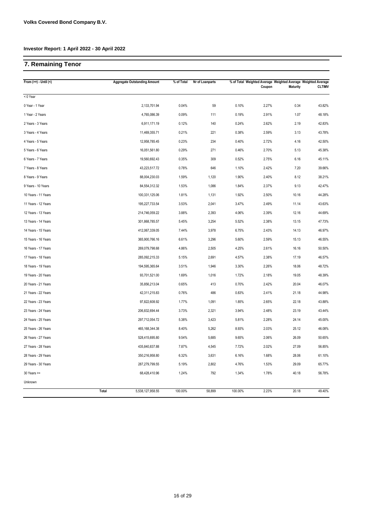# **7. Remaining Tenor**

| From $(>=)$ Until $($ | <b>Aggregate Outstanding Amount</b> | % of Total | Nr of Loanparts |         | Coupon | <b>Maturity</b> | % of Total Weighted Average Weighted Average Weighted Average<br><b>CLTIMV</b> |
|-----------------------|-------------------------------------|------------|-----------------|---------|--------|-----------------|--------------------------------------------------------------------------------|
| < 0 Year              |                                     |            |                 |         |        |                 |                                                                                |
| 0 Year - 1 Year       | 2,133,701.94                        | 0.04%      | 59              | 0.10%   | 2.27%  | 0.34            | 43.82%                                                                         |
| 1 Year - 2 Years      | 4,765,086.39                        | 0.09%      | 111             | 0.19%   | 2.91%  | 1.07            | 48.18%                                                                         |
| 2 Years - 3 Years     | 6,911,171.19                        | 0.12%      | 140             | 0.24%   | 2.62%  | 2.19            | 42.83%                                                                         |
| 3 Years - 4 Years     | 11,469,355.71                       | 0.21%      | 221             | 0.38%   | 2.59%  | 3.13            | 43.78%                                                                         |
| 4 Years - 5 Years     | 12,958,785.45                       | 0.23%      | 234             | 0.40%   | 2.72%  | 4.16            | 42.50%                                                                         |
| 5 Years - 6 Years     | 16,051,561.80                       | 0.29%      | 271             | 0.46%   | 2.70%  | 5.13            | 45.38%                                                                         |
| 6 Years - 7 Years     | 19,560,692.43                       | 0.35%      | 309             | 0.52%   | 2.75%  | 6.16            | 45.11%                                                                         |
| 7 Years - 8 Years     | 43,223,517.72                       | 0.78%      | 646             | 1.10%   | 2.42%  | 7.20            | 39.66%                                                                         |
| 8 Years - 9 Years     | 88,004,230.03                       | 1.59%      | 1,120           | 1.90%   | 2.40%  | 8.12            | 38.21%                                                                         |
| 9 Years - 10 Years    | 84,554,312.32                       | 1.53%      | 1,086           | 1.84%   | 2.37%  | 9.13            | 42.47%                                                                         |
| 10 Years - 11 Years   | 100,331,125.06                      | 1.81%      | 1,131           | 1.92%   | 2.50%  | 10.16           | 44.28%                                                                         |
| 11 Years - 12 Years   | 195,227,733.54                      | 3.53%      | 2,041           | 3.47%   | 2.49%  | 11.14           | 43.63%                                                                         |
| 12 Years - 13 Years   | 214,746,059.22                      | 3.88%      | 2,393           | 4.06%   | 2.39%  | 12.16           | 44.69%                                                                         |
| 13 Years - 14 Years   | 301,868,785.57                      | 5.45%      | 3,254           | 5.52%   | 2.38%  | 13.15           | 47.73%                                                                         |
| 14 Years - 15 Years   | 412,067,339.05                      | 7.44%      | 3,978           | 6.75%   | 2.43%  | 14.13           | 46.97%                                                                         |
| 15 Years - 16 Years   | 365,900,766.16                      | 6.61%      | 3,296           | 5.60%   | 2.59%  | 15.13           | 46.55%                                                                         |
| 16 Years - 17 Years   | 269,079,798.68                      | 4.86%      | 2,505           | 4.25%   | 2.61%  | 16.16           | 50.50%                                                                         |
| 17 Years - 18 Years   | 285,092,215.33                      | 5.15%      | 2,691           | 4.57%   | 2.38%  | 17.19           | 46.57%                                                                         |
| 18 Years - 19 Years   | 194,595,365.64                      | 3.51%      | 1,946           | 3.30%   | 2.26%  | 18.06           | 48.72%                                                                         |
| 19 Years - 20 Years   | 93,701,521.00                       | 1.69%      | 1,016           | 1.72%   | 2.18%  | 19.05           | 48.39%                                                                         |
| 20 Years - 21 Years   | 35,856,213.04                       | 0.65%      | 413             | 0.70%   | 2.42%  | 20.04           | 46.07%                                                                         |
| 21 Years - 22 Years   | 42,311,215.83                       | 0.76%      | 486             | 0.83%   | 2.41%  | 21.18           | 44.98%                                                                         |
| 22 Years - 23 Years   | 97,822,608.92                       | 1.77%      | 1,091           | 1.85%   | 2.65%  | 22.18           | 43.88%                                                                         |
| 23 Years - 24 Years   | 206,832,694.44                      | 3.73%      | 2,321           | 3.94%   | 2.48%  | 23.19           | 43.44%                                                                         |
| 24 Years - 25 Years   | 297,712,054.72                      | 5.38%      | 3,423           | 5.81%   | 2.28%  | 24.14           | 45.00%                                                                         |
| 25 Years - 26 Years   | 465, 168, 344. 38                   | 8.40%      | 5,262           | 8.93%   | 2.03%  | 25.12           | 46.08%                                                                         |
| 26 Years - 27 Years   | 528,415,695.80                      | 9.54%      | 5,685           | 9.65%   | 2.06%  | 26.09           | 50.65%                                                                         |
| 27 Years - 28 Years   | 435,840,837.88                      | 7.87%      | 4,545           | 7.72%   | 2.02%  | 27.09           | 56.85%                                                                         |
| 28 Years - 29 Years   | 350,216,958.80                      | 6.32%      | 3,631           | 6.16%   | 1.68%  | 28.06           | 61.10%                                                                         |
| 29 Years - 30 Years   | 287,279,799.55                      | 5.19%      | 2,802           | 4.76%   | 1.53%  | 29.09           | 65.77%                                                                         |
| $30$ Years $>=$       | 68,428,410.96                       | 1.24%      | 792             | 1.34%   | 1.78%  | 40.18           | 56.78%                                                                         |
| Unknown               |                                     |            |                 |         |        |                 |                                                                                |
|                       | Total<br>5,538,127,958.55           | 100.00%    | 58,899          | 100.00% | 2.23%  | 20.18           | 49.40%                                                                         |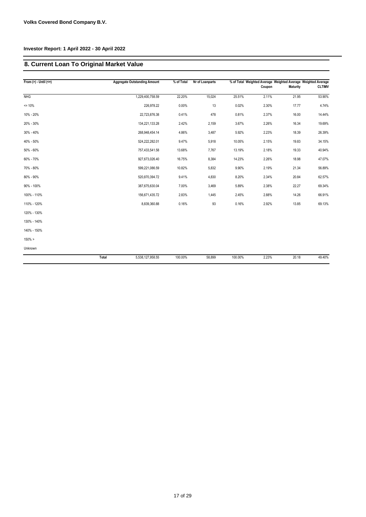# **8. Current Loan To Original Market Value**

| From $(>) -$ Until $(<=)$ |       | <b>Aggregate Outstanding Amount</b> | % of Total | Nr of Loanparts |         | Coupon | <b>Maturity</b> | % of Total Weighted Average Weighted Average Weighted Average<br><b>CLTIMV</b> |
|---------------------------|-------|-------------------------------------|------------|-----------------|---------|--------|-----------------|--------------------------------------------------------------------------------|
| <b>NHG</b>                |       | 1,229,400,758.59                    | 22.20%     | 15,024          | 25.51%  | 2.11%  | 21.95           | 53.90%                                                                         |
| $= 10%$                   |       | 226,978.22                          | 0.00%      | 13              | 0.02%   | 2.30%  | 17.77           | 4.74%                                                                          |
| 10% - 20%                 |       | 22,723,876.38                       | 0.41%      | 478             | 0.81%   | 2.37%  | 16.00           | 14.44%                                                                         |
| 20% - 30%                 |       | 134,221,133.28                      | 2.42%      | 2,159           | 3.67%   | 2.26%  | 16.34           | 19.69%                                                                         |
| 30% - 40%                 |       | 268,948,454.14                      | 4.86%      | 3,487           | 5.92%   | 2.23%  | 18.39           | 26.39%                                                                         |
| 40% - 50%                 |       | 524,222,282.01                      | 9.47%      | 5,918           | 10.05%  | 2.15%  | 19.83           | 34.15%                                                                         |
| 50% - 60%                 |       | 757,433,541.58                      | 13.68%     | 7,767           | 13.19%  | 2.18%  | 19.33           | 40.94%                                                                         |
| 60% - 70%                 |       | 927,673,026.40                      | 16.75%     | 8,384           | 14.23%  | 2.26%  | 18.98           | 47.07%                                                                         |
| 70% - 80%                 |       | 599,221,086.59                      | 10.82%     | 5,832           | 9.90%   | 2.19%  | 21.34           | 56.89%                                                                         |
| 80% - 90%                 |       | 520,870,394.72                      | 9.41%      | 4,830           | 8.20%   | 2.34%  | 20.84           | 62.57%                                                                         |
| 90% - 100%                |       | 387,675,630.04                      | 7.00%      | 3,469           | 5.89%   | 2.38%  | 22.27           | 69.34%                                                                         |
| 100% - 110%               |       | 156,671,435.72                      | 2.83%      | 1,445           | 2.45%   | 2.88%  | 14.26           | 66.91%                                                                         |
| 110% - 120%               |       | 8,839,360.88                        | 0.16%      | 93              | 0.16%   | 2.92%  | 13.85           | 69.13%                                                                         |
| 120% - 130%               |       |                                     |            |                 |         |        |                 |                                                                                |
| 130% - 140%               |       |                                     |            |                 |         |        |                 |                                                                                |
| 140% - 150%               |       |                                     |            |                 |         |        |                 |                                                                                |
| 150% >                    |       |                                     |            |                 |         |        |                 |                                                                                |
| Unknown                   |       |                                     |            |                 |         |        |                 |                                                                                |
|                           | Total | 5,538,127,958.55                    | 100.00%    | 58,899          | 100.00% | 2.23%  | 20.18           | 49.40%                                                                         |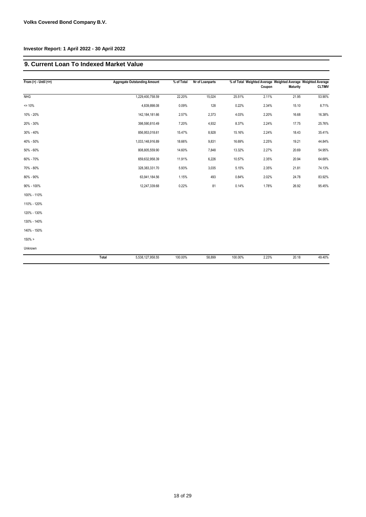## **9. Current Loan To Indexed Market Value**

| From $(>)$ - Until $(<=)$ |       | <b>Aggregate Outstanding Amount</b> | % of Total | Nr of Loanparts |         | % of Total Weighted Average Weighted Average Weighted Average<br>Coupon | <b>Maturity</b> | <b>CLTIMV</b> |
|---------------------------|-------|-------------------------------------|------------|-----------------|---------|-------------------------------------------------------------------------|-----------------|---------------|
| <b>NHG</b>                |       | 1,229,400,758.59                    | 22.20%     | 15,024          | 25.51%  | 2.11%                                                                   | 21.95           | 53.90%        |
| $= 10%$                   |       | 4,839,898.08                        | 0.09%      | 128             | 0.22%   | 2.34%                                                                   | 15.10           | 8.71%         |
| 10% - 20%                 |       | 142, 184, 181.66                    | 2.57%      | 2,373           | 4.03%   | 2.20%                                                                   | 16.68           | 16.38%        |
| 20% - 30%                 |       | 398,590,810.49                      | 7.20%      | 4,932           | 8.37%   | 2.24%                                                                   | 17.75           | 25.76%        |
| 30% - 40%                 |       | 856,953,018.61                      | 15.47%     | 8,928           | 15.16%  | 2.24%                                                                   | 18.43           | 35.41%        |
| 40% - 50%                 |       | 1,033,148,916.89                    | 18.66%     | 9,831           | 16.69%  | 2.25%                                                                   | 19.21           | 44.84%        |
| 50% - 60%                 |       | 808,805,559.90                      | 14.60%     | 7,848           | 13.32%  | 2.27%                                                                   | 20.69           | 54.95%        |
| 60% - 70%                 |       | 659,632,958.39                      | 11.91%     | 6,226           | 10.57%  | 2.35%                                                                   | 20.94           | 64.68%        |
| 70% - 80%                 |       | 328,383,331.70                      | 5.93%      | 3,035           | 5.15%   | 2.35%                                                                   | 21.81           | 74.13%        |
| 80% - 90%                 |       | 63,941,184.56                       | 1.15%      | 493             | 0.84%   | 2.02%                                                                   | 24.78           | 83.92%        |
| 90% - 100%                |       | 12,247,339.68                       | 0.22%      | 81              | 0.14%   | 1.78%                                                                   | 26.92           | 95.45%        |
| 100% - 110%               |       |                                     |            |                 |         |                                                                         |                 |               |
| 110% - 120%               |       |                                     |            |                 |         |                                                                         |                 |               |
| 120% - 130%               |       |                                     |            |                 |         |                                                                         |                 |               |
| 130% - 140%               |       |                                     |            |                 |         |                                                                         |                 |               |
| 140% - 150%               |       |                                     |            |                 |         |                                                                         |                 |               |
| 150% >                    |       |                                     |            |                 |         |                                                                         |                 |               |
| Unknown                   |       |                                     |            |                 |         |                                                                         |                 |               |
|                           | Total | 5,538,127,958.55                    | 100.00%    | 58,899          | 100.00% | 2.23%                                                                   | 20.18           | 49.40%        |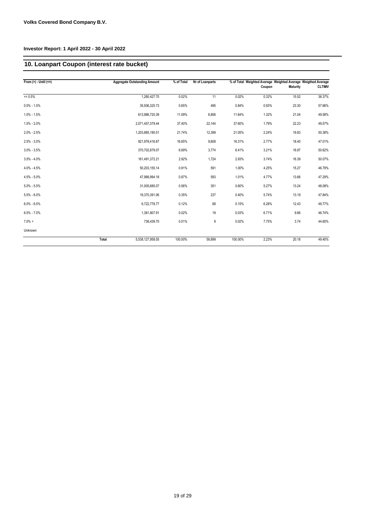# **10. Loanpart Coupon (interest rate bucket)**

| From $(>) -$ Until $(<=)$ | <b>Aggregate Outstanding Amount</b> | % of Total | Nr of Loanparts |         | % of Total Weighted Average Weighted Average Weigthed Average |          |               |
|---------------------------|-------------------------------------|------------|-----------------|---------|---------------------------------------------------------------|----------|---------------|
|                           |                                     |            |                 |         | Coupon                                                        | Maturity | <b>CLTIMV</b> |
| $\overline{500}$          | 1,280,427.70                        | 0.02%      | 11              | 0.02%   | 0.32%                                                         | 15.52    | 36.37%        |
| $0.5\% - 1.0\%$           | 35,936,320.73                       | 0.65%      | 495             | 0.84%   | 0.93%                                                         | 23.30    | 57.66%        |
| $1.0\% - 1.5\%$           | 613,986,720.39                      | 11.09%     | 6,856           | 11.64%  | 1.32%                                                         | 21.04    | 49.58%        |
| $1.5\% - 2.0\%$           | 2,071,457,379.44                    | 37.40%     | 22,144          | 37.60%  | 1.79%                                                         | 22.23    | 49.57%        |
| $2.0\% - 2.5\%$           | 1,203,885,190.51                    | 21.74%     | 12,399          | 21.05%  | 2.24%                                                         | 19.83    | 50.38%        |
| $2.5\% - 3.0\%$           | 921,978,416.67                      | 16.65%     | 9,608           | 16.31%  | 2.77%                                                         | 18.40    | 47.01%        |
| $3.0\% - 3.5\%$           | 370,702,879.07                      | 6.69%      | 3,774           | 6.41%   | 3.21%                                                         | 16.97    | 50.62%        |
| $3.5\% - 4.0\%$           | 161,491,372.21                      | 2.92%      | 1,724           | 2.93%   | 3.74%                                                         | 16.39    | 50.07%        |
| $4.0\% - 4.5\%$           | 50,203,155.14                       | 0.91%      | 591             | 1.00%   | 4.25%                                                         | 15.27    | 46.79%        |
| $4.5\% - 5.0\%$           | 47,988,994.18                       | 0.87%      | 593             | 1.01%   | 4.77%                                                         | 13.66    | 47.29%        |
| $5.0\% - 5.5\%$           | 31,005,685.07                       | 0.56%      | 351             | 0.60%   | 5.27%                                                         | 13.24    | 48.08%        |
| $5.5\% - 6.0\%$           | 19,370,391.06                       | 0.35%      | 237             | 0.40%   | 5.74%                                                         | 13.19    | 47.84%        |
| $6.0\% - 6.5\%$           | 6,722,778.77                        | 0.12%      | 88              | 0.15%   | 6.28%                                                         | 12.43    | 49.77%        |
| $6.5\% - 7.0\%$           | 1,381,807.91                        | 0.02%      | 19              | 0.03%   | 6.71%                                                         | 9.66     | 46.74%        |
| $7.0\% >$                 | 736,439.70                          | 0.01%      | 9               | 0.02%   | 7.75%                                                         | 3.74     | 44.60%        |
| Unknown                   |                                     |            |                 |         |                                                               |          |               |
|                           | Total<br>5,538,127,958.55           | 100.00%    | 58.899          | 100.00% | 2.23%                                                         | 20.18    | 49.40%        |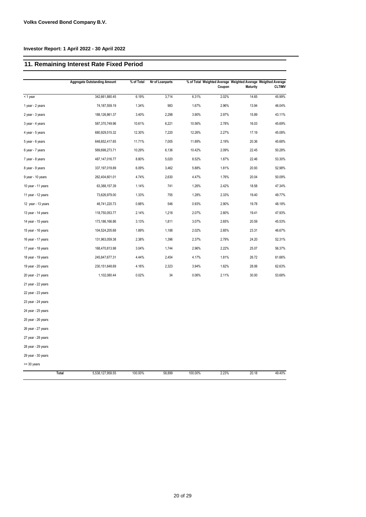# **11. Remaining Interest Rate Fixed Period**

|                    | <b>Aggregate Outstanding Amount</b> | % of Total | Nr of Loanparts |         |        |                 | % of Total Weighted Average Weighted Average Weigthed Average |
|--------------------|-------------------------------------|------------|-----------------|---------|--------|-----------------|---------------------------------------------------------------|
|                    |                                     |            |                 |         | Coupon | <b>Maturity</b> | <b>CLTIMV</b>                                                 |
| < 1 year           | 342,661,880.45                      | 6.19%      | 3,714           | 6.31%   | 2.02%  | 14.65           | 45.99%                                                        |
| 1 year - 2 years   | 74,187,559.19                       | 1.34%      | 983             | 1.67%   | 2.96%  | 13.94           | 46.04%                                                        |
| 2 year - 3 years   | 188,126,861.37                      | 3.40%      | 2,298           | 3.90%   | 2.97%  | 15.89           | 43.11%                                                        |
| 3 year - 4 years   | 587,370,749.96                      | 10.61%     | 6,221           | 10.56%  | 2.78%  | 16.03           | 45.69%                                                        |
| 4 year - 5 years   | 680,929,515.32                      | 12.30%     | 7,220           | 12.26%  | 2.27%  | 17.19           | 45.08%                                                        |
| 5 year - 6 years   | 648,652,417.65                      | 11.71%     | 7,005           | 11.89%  | 2.19%  | 20.36           | 45.68%                                                        |
| 6 year - 7 years   | 569,698,273.71                      | 10.29%     | 6,136           | 10.42%  | 2.09%  | 22.45           | 50.28%                                                        |
| 7 year - 8 years   | 487, 147, 016.77                    | 8.80%      | 5,020           | 8.52%   | 1.87%  | 22.46           | 53.30%                                                        |
| 8 year - 9 years   | 337, 197, 019.89                    | 6.09%      | 3,462           | 5.88%   | 1.81%  | 20.93           | 52.98%                                                        |
| 9 year - 10 years  | 262,404,601.01                      | 4.74%      | 2,630           | 4.47%   | 1.76%  | 20.04           | 50.09%                                                        |
| 10 year - 11 years | 63,388,157.39                       | 1.14%      | 741             | 1.26%   | 2.42%  | 18.58           | 47.34%                                                        |
| 11 year - 12 years | 73,626,979.00                       | 1.33%      | 755             | 1.28%   | 2.33%  | 19.40           | 49.77%                                                        |
| 12 year - 13 years | 48,741,220.73                       | 0.88%      | 546             | 0.93%   | 2.90%  | 19.78           | 48.18%                                                        |
| 13 year - 14 years | 118,750,053.77                      | 2.14%      | 1,218           | 2.07%   | 2.80%  | 19.41           | 47.93%                                                        |
| 14 year - 15 years | 173,186,166.86                      | 3.13%      | 1,811           | 3.07%   | 2.65%  | 20.59           | 45.53%                                                        |
| 15 year - 16 years | 104,524,205.68                      | 1.89%      | 1,188           | 2.02%   | 2.85%  | 23.31           | 46.67%                                                        |
| 16 year - 17 years | 131,963,059.38                      | 2.38%      | 1,396           | 2.37%   | 2.79%  | 24.20           | 52.31%                                                        |
| 17 year - 18 years | 168,470,813.98                      | 3.04%      | 1,744           | 2.96%   | 2.22%  | 25.07           | 56.37%                                                        |
| 18 year - 19 years | 245,847,677.31                      | 4.44%      | 2,454           | 4.17%   | 1.81%  | 26.72           | 61.66%                                                        |
| 19 year - 20 years | 230, 151, 648.69                    | 4.16%      | 2,323           | 3.94%   | 1.62%  | 28.06           | 62.63%                                                        |
| 20 year - 21 years | 1,102,080.44                        | 0.02%      | 34              | 0.06%   | 2.11%  | 30.00           | 53.68%                                                        |
| 21 year - 22 years |                                     |            |                 |         |        |                 |                                                               |
| 22 year - 23 years |                                     |            |                 |         |        |                 |                                                               |
| 23 year - 24 years |                                     |            |                 |         |        |                 |                                                               |
| 24 year - 25 years |                                     |            |                 |         |        |                 |                                                               |
| 25 year - 26 years |                                     |            |                 |         |        |                 |                                                               |
| 26 year - 27 years |                                     |            |                 |         |        |                 |                                                               |
| 27 year - 28 years |                                     |            |                 |         |        |                 |                                                               |
| 28 year - 29 years |                                     |            |                 |         |        |                 |                                                               |
| 29 year - 30 years |                                     |            |                 |         |        |                 |                                                               |
| $>=$ 30 years      |                                     |            |                 |         |        |                 |                                                               |
|                    | Total<br>5,538,127,958.55           | 100.00%    | 58,899          | 100.00% | 2.23%  | 20.18           | 49.40%                                                        |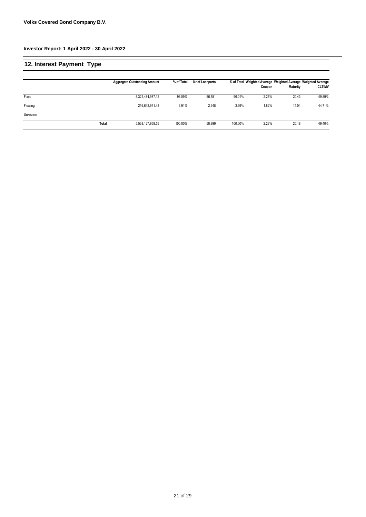| 12. Interest Payment Type |       |                                     |            |                 |         |        |                                                                                  |               |
|---------------------------|-------|-------------------------------------|------------|-----------------|---------|--------|----------------------------------------------------------------------------------|---------------|
|                           |       | <b>Aggregate Outstanding Amount</b> | % of Total | Nr of Loanparts |         | Coupon | % of Total Weighted Average Weighted Average Weighted Average<br><b>Maturity</b> | <b>CLTIMV</b> |
| Fixed                     |       | 5,321,484,987.12                    | 96.09%     | 56,551          | 96.01%  | 2.25%  | 20.43                                                                            | 49.59%        |
| Floating                  |       | 216,642,971.43                      | 3.91%      | 2,348           | 3.99%   | 1.82%  | 14.04                                                                            | 44.71%        |
| Unknown                   |       |                                     |            |                 |         |        |                                                                                  |               |
|                           | Total | 5,538,127,958.55                    | 100.00%    | 58,899          | 100.00% | 2.23%  | 20.18                                                                            | 49.40%        |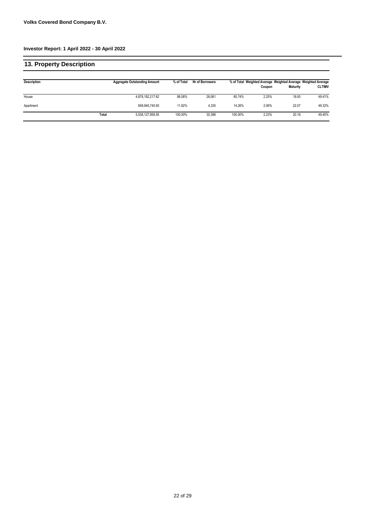| <b>13. Property Description</b> |       |                                     |            |                        |         |        |                                                                           |               |
|---------------------------------|-------|-------------------------------------|------------|------------------------|---------|--------|---------------------------------------------------------------------------|---------------|
| <b>Description</b>              |       | <b>Aggregate Outstanding Amount</b> | % of Total | <b>Nr of Borrowers</b> |         | Coupon | % of Total Weighted Average Weighted Average Weighted Average<br>Maturity | <b>CLTIMV</b> |
| House                           |       | 4,878,182,217.62                    | 88.08%     | 26.061                 | 85.74%  | 2.25%  | 19.93                                                                     | 49.41%        |
| Apartment                       |       | 659.945.740.93                      | 11.92%     | 4.335                  | 14.26%  | 2.06%  | 22.07                                                                     | 49.33%        |
|                                 | Total | 5,538,127,958.55                    | 100.00%    | 30,396                 | 100.00% | 2.23%  | 20.18                                                                     | 49.40%        |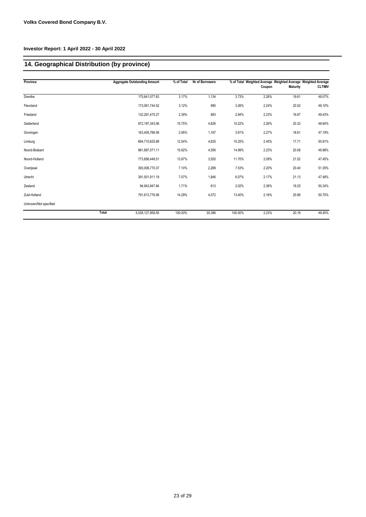# **14. Geographical Distribution (by province)**

| Province              |       | <b>Aggregate Outstanding Amount</b> | % of Total | <b>Nr of Borrowers</b> |         |        |                 | % of Total Weighted Average Weighted Average Weighted Average |
|-----------------------|-------|-------------------------------------|------------|------------------------|---------|--------|-----------------|---------------------------------------------------------------|
|                       |       |                                     |            |                        |         | Coupon | <b>Maturity</b> | <b>CLTIMV</b>                                                 |
| Drenthe               |       | 175,641,077.63                      | 3.17%      | 1,134                  | 3.73%   | 2.26%  | 19.61           | 49.07%                                                        |
| Flevoland             |       | 173,061,744.52                      | 3.12%      | 990                    | 3.26%   | 2.24%  | 20.52           | 49.10%                                                        |
| Friesland             |       | 132.291.475.27                      | 2.39%      | 893                    | 2.94%   | 2.23%  | 19.87           | 49.43%                                                        |
| Gelderland            |       | 872,197,343.06                      | 15.75%     | 4,626                  | 15.22%  | 2.26%  | 20.32           | 48.64%                                                        |
| Groningen             |       | 163,405,766.58                      | 2.95%      | 1,187                  | 3.91%   | 2.27%  | 18.61           | 47.19%                                                        |
| Limburg               |       | 694,710,625.89                      | 12.54%     | 4,635                  | 15.25%  | 2.45%  | 17.71           | 50.81%                                                        |
| Noord-Brabant         |       | 881,897,071.11                      | 15.92%     | 4,556                  | 14.99%  | 2.23%  | 20.08           | 49.98%                                                        |
| Noord-Holland         |       | 773,856,448.51                      | 13.97%     | 3,555                  | 11.70%  | 2.09%  | 21.52           | 47.45%                                                        |
| Overijssel            |       | 393,006,770.37                      | 7.10%      | 2,289                  | 7.53%   | 2.20%  | 20.40           | 51.35%                                                        |
| Utrecht               |       | 391,501,911.19                      | 7.07%      | 1,846                  | 6.07%   | 2.17%  | 21.13           | 47.48%                                                        |
| Zeeland               |       | 94,943,947.84                       | 1.71%      | 613                    | 2.02%   | 2.36%  | 19.25           | 50.34%                                                        |
| Zuid-Holland          |       | 791,613,776.58                      | 14.29%     | 4,072                  | 13.40%  | 2.16%  | 20.98           | 50.70%                                                        |
| Unknown/Not specified |       |                                     |            |                        |         |        |                 |                                                               |
|                       | Total | 5,538,127,958.55                    | 100.00%    | 30,396                 | 100.00% | 2.23%  | 20.18           | 49.40%                                                        |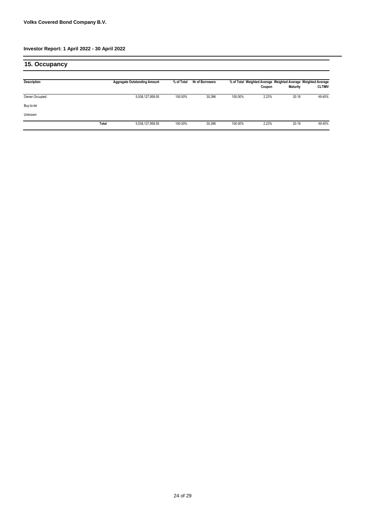| 15. Occupancy  |       |                                     |            |                        |         |                                                                         |          |               |
|----------------|-------|-------------------------------------|------------|------------------------|---------|-------------------------------------------------------------------------|----------|---------------|
| Description    |       | <b>Aggregate Outstanding Amount</b> | % of Total | <b>Nr of Borrowers</b> |         | % of Total Weighted Average Weighted Average Weighted Average<br>Coupon | Maturity | <b>CLTIMV</b> |
| Owner Occupied |       | 5,538,127,958.55                    | 100.00%    | 30,396                 | 100.00% | 2.23%                                                                   | 20.18    | 49.40%        |
| Buy-to-let     |       |                                     |            |                        |         |                                                                         |          |               |
| Unknown        |       |                                     |            |                        |         |                                                                         |          |               |
|                | Total | 5,538,127,958.55                    | 100.00%    | 30,396                 | 100.00% | 2.23%                                                                   | 20.18    | 49.40%        |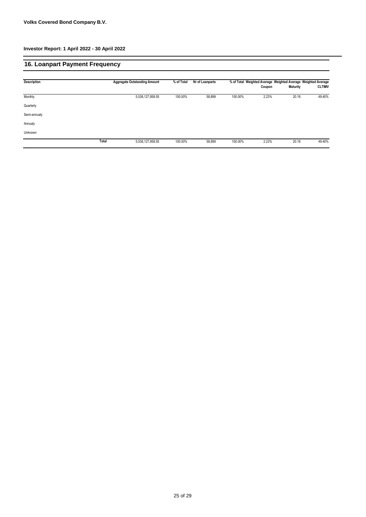# **16. Loanpart Payment Frequency**

| Description  |       | <b>Aggregate Outstanding Amount</b> | % of Total | Nr of Loanparts |         | Coupon | <b>Maturity</b> | % of Total Weighted Average Weighted Average Weighted Average<br><b>CLTIMV</b> |
|--------------|-------|-------------------------------------|------------|-----------------|---------|--------|-----------------|--------------------------------------------------------------------------------|
| Monthly      |       | 5,538,127,958.55                    | 100.00%    | 58,899          | 100.00% | 2.23%  | 20.18           | 49.40%                                                                         |
| Quarterly    |       |                                     |            |                 |         |        |                 |                                                                                |
| Semi-annualy |       |                                     |            |                 |         |        |                 |                                                                                |
| Annualy      |       |                                     |            |                 |         |        |                 |                                                                                |
| Unknown      |       |                                     |            |                 |         |        |                 |                                                                                |
|              | Total | 5,538,127,958.55                    | 100.00%    | 58,899          | 100.00% | 2.23%  | 20.18           | 49.40%                                                                         |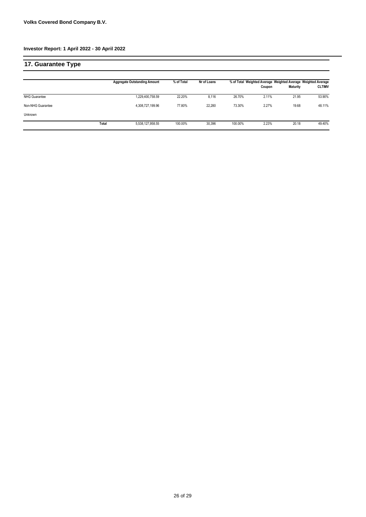| 17. Guarantee Type   |       |                                     |            |             |         |        |                 |                                                                                |
|----------------------|-------|-------------------------------------|------------|-------------|---------|--------|-----------------|--------------------------------------------------------------------------------|
|                      |       | <b>Aggregate Outstanding Amount</b> | % of Total | Nr of Loans |         | Coupon | <b>Maturity</b> | % of Total Weighted Average Weighted Average Weighted Average<br><b>CLTIMV</b> |
| <b>NHG Guarantee</b> |       | 1,229,400,758.59                    | 22.20%     | 8,116       | 26.70%  | 2.11%  | 21.95           | 53.90%                                                                         |
| Non-NHG Guarantee    |       | 4,308,727,199.96                    | 77.80%     | 22,280      | 73.30%  | 2.27%  | 19.68           | 48.11%                                                                         |
| Unknown              |       |                                     |            |             |         |        |                 |                                                                                |
|                      | Total | 5,538,127,958.55                    | 100.00%    | 30.396      | 100.00% | 2.23%  | 20.18           | 49.40%                                                                         |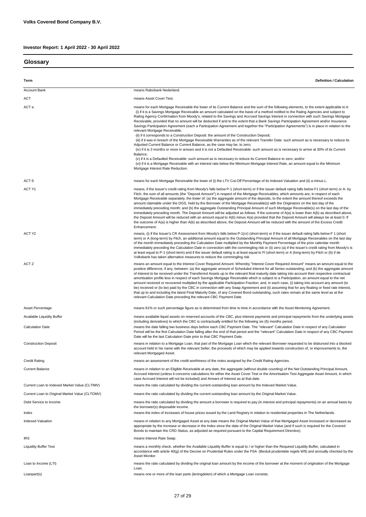**Glossary**

| Term                                           | <b>Definition / Calculation</b>                                                                                                                                                                                                                                                                                                                                                                                                                                                                                                                                                                                                                                                                                                                                                                                                                                                                                                                                                                                                                                                                                                                                                                                                                                                                                                                                                                                                                                                                                                           |
|------------------------------------------------|-------------------------------------------------------------------------------------------------------------------------------------------------------------------------------------------------------------------------------------------------------------------------------------------------------------------------------------------------------------------------------------------------------------------------------------------------------------------------------------------------------------------------------------------------------------------------------------------------------------------------------------------------------------------------------------------------------------------------------------------------------------------------------------------------------------------------------------------------------------------------------------------------------------------------------------------------------------------------------------------------------------------------------------------------------------------------------------------------------------------------------------------------------------------------------------------------------------------------------------------------------------------------------------------------------------------------------------------------------------------------------------------------------------------------------------------------------------------------------------------------------------------------------------------|
| <b>Account Bank</b>                            | means Rabobank Nederland.                                                                                                                                                                                                                                                                                                                                                                                                                                                                                                                                                                                                                                                                                                                                                                                                                                                                                                                                                                                                                                                                                                                                                                                                                                                                                                                                                                                                                                                                                                                 |
| ACT                                            | means Asset Cover Test.                                                                                                                                                                                                                                                                                                                                                                                                                                                                                                                                                                                                                                                                                                                                                                                                                                                                                                                                                                                                                                                                                                                                                                                                                                                                                                                                                                                                                                                                                                                   |
| ACT a                                          | means for each Mortgage Receivable the lower of its Current Balance and the sum of the following elements, to the extent applicable to it:<br>(i) if it is a Savings Mortgage Receivable an amount calculated on the basis of a method notified to the Rating Agencies and subject to<br>Rating Agency Confirmation from Moody's, related to the Savings and Accrued Savings Interest in connection with such Savings Mortgage<br>Receivable, provided that no amount will be deducted if and to the extent that a Bank Savings Participation Agreement and/or Insurance<br>Savings Participation Agreement (each a Participation Agreement and together the "Participation Agreements") is in place in relation to the<br>relevant Mortgage Receivable;<br>(ii) if it corresponds to a Construction Deposit: the amount of the Construction Deposit;<br>(iii) if it was in breach of the Mortgage Receivable Warranties as of the relevant Transfer Date: such amount as is necessary to reduce its<br>Adjusted Current Balance or Current Balance, as the case may be, to zero;<br>(iv) if it is 3 months or more in arrears and it is not a Defaulted Receivable: such amount as is necessary to arrive at 30% of its Current<br>Balance;<br>(v) if it is a Defaulted Receivable: such amount as is necessary to reduce its Current Balance to zero; and/or<br>(vi) if it is a Mortgage Receivable with an interest rate below the Minimum Mortgage Interest Rate, an amount equal to the Minimum<br>Mortgage Interest Rate Reduction. |
| ACT ß                                          | means for each Mortgage Receivable the lower of (i) the LTV Cut-Off Percentage of its Indexed Valuation and (ii) a minus L.                                                                                                                                                                                                                                                                                                                                                                                                                                                                                                                                                                                                                                                                                                                                                                                                                                                                                                                                                                                                                                                                                                                                                                                                                                                                                                                                                                                                               |
|                                                |                                                                                                                                                                                                                                                                                                                                                                                                                                                                                                                                                                                                                                                                                                                                                                                                                                                                                                                                                                                                                                                                                                                                                                                                                                                                                                                                                                                                                                                                                                                                           |
| ACT Y1                                         | means, if the Issuer's credit rating from Moody's falls below P-1 (short-term) or if the issuer default rating falls below F1 (short term) or A- by<br>Fitch, the sum of all amounts (the "Deposit Amount") in respect of the Mortgage Receivables, which amounts are, in respect of each<br>Mortgage Receivable separately, the lower of: (a) the aggregate amount of the deposits, to the extent the amount thereof exceeds the<br>amount claimable under the DGS, held by the Borrower of the Mortgage Receivable(s) with the Originators on the last day of the<br>immediately preceding month; and (b) the aggregate Outstanding Principal Amount of such Mortgage Receivable(s) on the last day of the<br>immediately preceding month. The Deposit Amount will be adjusted as follows. If the outcome of A(a) is lower than A(b) as described above,<br>the Deposit Amount will be reduced with an amount equal to A(b) minus A(a) provided that the Deposit Amount will always be at least 0. If<br>the outcome of A(a) is higher than A(b) as described above, the Deposit Amount will be reduced with the amount of the Excess Credit<br>Enhancement.                                                                                                                                                                                                                                                                                                                                                                            |
| ACT Y2                                         | means, (i) if the Issuer's CR Assessment from Moody's falls below P-1(cr) (short-term) or if the issuer default rating falls below F 1 (short<br>term) or A (long-term) by Fitch, an additional amount equal to the Outstanding Principal Amount of all Mortgage Receivables on the last day<br>of the month immediately preceding the Calculation Date multiplied by the Monthly Payment Percentage of the prior calendar month<br>immediately preceding the Calculation Date in connection with the commingling risk or (ii) zero (a) if the Issuer's credit rating from Moody's is<br>at least equal to P-1 (short-term) and if the issuer default rating is at least equal to FI (short term) or A (long-term) by Fitch or (b) if de<br>Volksbank has taken alternative measures to reduce the commingling risk                                                                                                                                                                                                                                                                                                                                                                                                                                                                                                                                                                                                                                                                                                                       |
| ACT Z                                          | means an amount equal to the Interest Cover Required Amount. Whereby "Interest Cover Required Amount" means an amount equal to the<br>positive difference, if any, between: (a) the aggregate amount of Scheduled Interest for all Series outstanding; and (b) the aggregate amount<br>of interest to be received under the Transferred Assets up to the relevant final maturity date taking into account their respective contractual<br>amortisation profile less in respect of each Savings Mortgage Receivable which is subject to a Participation, an amount equal to the net<br>amount received or recovered multiplied by the applicable Participation Fraction; and, in each case, (i) taking into account any amount (to<br>be) received or (to be) paid by the CBC in connection with any Swap Agreement and (ii) assuming that for any floating or fixed rate interest,<br>that up to and including the latest Final Maturity Date, of any Covered Bond outstanding, such rates remain at the same level as at the<br>relevant Calculation Date preceding the relevant CBC Payment Date.                                                                                                                                                                                                                                                                                                                                                                                                                                       |
| Asset Percentage                               | means 81% or such percentage figure as is determined from time to time in accordance with the Asset Monitoring Agreement.                                                                                                                                                                                                                                                                                                                                                                                                                                                                                                                                                                                                                                                                                                                                                                                                                                                                                                                                                                                                                                                                                                                                                                                                                                                                                                                                                                                                                 |
| <b>Available Liquidity Buffer</b>              | means available liquid assets on reserved accounts of the CBC, plus interest payments and principal repayments from the underlying assets                                                                                                                                                                                                                                                                                                                                                                                                                                                                                                                                                                                                                                                                                                                                                                                                                                                                                                                                                                                                                                                                                                                                                                                                                                                                                                                                                                                                 |
| <b>Calculation Date</b>                        | (including derivatives) to which the CBC is contractually entitled for the following six (6) months period.<br>means the date falling two business days before each CBC Payment Date. The "relevant" Calculation Date in respect of any Calculation<br>Period will be the first Calculation Date falling after the end of that period and the "relevant" Calculation Date in respect of any CBC Payment<br>Date will be the last Calculation Date prior to that CBC Payment Date.                                                                                                                                                                                                                                                                                                                                                                                                                                                                                                                                                                                                                                                                                                                                                                                                                                                                                                                                                                                                                                                         |
| <b>Construction Deposit</b>                    | means in relation to a Mortgage Loan, that part of the Mortgage Loan which the relevant Borrower requested to be disbursed into a blocked<br>account held in his name with the relevant Seller, the proceeds of which may be applied towards construction of, or improvements to, the<br>relevant Mortgaged Asset.                                                                                                                                                                                                                                                                                                                                                                                                                                                                                                                                                                                                                                                                                                                                                                                                                                                                                                                                                                                                                                                                                                                                                                                                                        |
| <b>Credit Rating</b>                           | means an assessment of the credit worthiness of the notes assigned by the Credit Rating Agencies.                                                                                                                                                                                                                                                                                                                                                                                                                                                                                                                                                                                                                                                                                                                                                                                                                                                                                                                                                                                                                                                                                                                                                                                                                                                                                                                                                                                                                                         |
| <b>Current Balance</b>                         | means in relation to an Eligible Receivable at any date, the aggregate (without double counting) of the Net Outstanding Principal Amount,<br>Accrued Interest (unless it concerns calculations for either the Asset Cover Test or the Amortisation Test Aggregate Asset Amount, in which<br>case Accrued Interest will not be included) and Arrears of Interest as at that date.                                                                                                                                                                                                                                                                                                                                                                                                                                                                                                                                                                                                                                                                                                                                                                                                                                                                                                                                                                                                                                                                                                                                                          |
| Current Loan to Indexed Market Value (CLTIMV)  | means the ratio calculated by dividing the current outstanding loan amount by the Indexed Market Value.                                                                                                                                                                                                                                                                                                                                                                                                                                                                                                                                                                                                                                                                                                                                                                                                                                                                                                                                                                                                                                                                                                                                                                                                                                                                                                                                                                                                                                   |
| Current Loan to Original Market Value (CLTOMV) | means the ratio calculated by dividing the current outstanding loan amount by the Original Market Value.                                                                                                                                                                                                                                                                                                                                                                                                                                                                                                                                                                                                                                                                                                                                                                                                                                                                                                                                                                                                                                                                                                                                                                                                                                                                                                                                                                                                                                  |
| Debt Service to Income                         | means the ratio calculated by dividing the amount a borrower is required to pay (in interest and principal repayments) on an annual basis by<br>the borrower(s) disposable income.                                                                                                                                                                                                                                                                                                                                                                                                                                                                                                                                                                                                                                                                                                                                                                                                                                                                                                                                                                                                                                                                                                                                                                                                                                                                                                                                                        |
| Index                                          | means the index of increases of house prices issued by the Land Registry in relation to residential properties in The Netherlands.                                                                                                                                                                                                                                                                                                                                                                                                                                                                                                                                                                                                                                                                                                                                                                                                                                                                                                                                                                                                                                                                                                                                                                                                                                                                                                                                                                                                        |
| <b>Indexed Valuation</b>                       | means in relation to any Mortgaged Asset at any date means the Original Market Value of that Mortgaged Asset increased or decreased as<br>appropriate by the increase or decrease in the Index since the date of the Original Market Value (and if such is required for the Covered<br>Bonds to maintain the CRD Status, as adjusted as required pursuant to the Capital Requirement Directive).                                                                                                                                                                                                                                                                                                                                                                                                                                                                                                                                                                                                                                                                                                                                                                                                                                                                                                                                                                                                                                                                                                                                          |
| <b>IRS</b>                                     | means Interest Rate Swap.                                                                                                                                                                                                                                                                                                                                                                                                                                                                                                                                                                                                                                                                                                                                                                                                                                                                                                                                                                                                                                                                                                                                                                                                                                                                                                                                                                                                                                                                                                                 |
| <b>Liquidity Buffer Test</b>                   | means a monthly check, whether the Available Liquidity Buffer is equal to / or higher than the Required Liquidity Buffer, calculated in<br>accordance with article 40(g) of the Decree on Prudential Rules under the FSA (Besluit prudentiele regels Wft) and annually checked by the<br>Asset Monitor.                                                                                                                                                                                                                                                                                                                                                                                                                                                                                                                                                                                                                                                                                                                                                                                                                                                                                                                                                                                                                                                                                                                                                                                                                                   |
| Loan to Income (LTI)                           | means the ratio calculated by dividing the original loan amount by the income of the borrower at the moment of origination of the Mortgage<br>Loan.                                                                                                                                                                                                                                                                                                                                                                                                                                                                                                                                                                                                                                                                                                                                                                                                                                                                                                                                                                                                                                                                                                                                                                                                                                                                                                                                                                                       |
| Loanpart(s)                                    | means one or more of the loan parts (leningdelen) of which a Mortgage Loan consists.                                                                                                                                                                                                                                                                                                                                                                                                                                                                                                                                                                                                                                                                                                                                                                                                                                                                                                                                                                                                                                                                                                                                                                                                                                                                                                                                                                                                                                                      |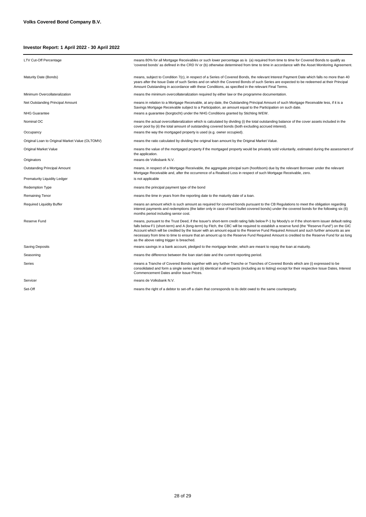| <b>LTV Cut-Off Percentage</b>                   | means 80% for all Mortgage Receivables or such lower percentage as is (a) required from time to time for Covered Bonds to qualify as<br>'covered bonds' as defined in the CRD IV or (b) otherwise determined from time to time in accordance with the Asset Monitoring Agreement.                                                                                                                                                                                                                                                                                                                                                 |
|-------------------------------------------------|-----------------------------------------------------------------------------------------------------------------------------------------------------------------------------------------------------------------------------------------------------------------------------------------------------------------------------------------------------------------------------------------------------------------------------------------------------------------------------------------------------------------------------------------------------------------------------------------------------------------------------------|
| Maturity Date (Bonds)                           | means, subject to Condition 7(c), in respect of a Series of Covered Bonds, the relevant Interest Payment Date which falls no more than 40<br>years after the Issue Date of such Series and on which the Covered Bonds of such Series are expected to be redeemed at their Principal<br>Amount Outstanding in accordance with these Conditions, as specified in the relevant Final Terms.                                                                                                                                                                                                                                          |
| Minimum Overcollateralization                   | means the minimum overcollateralization required by either law or the programme documentation.                                                                                                                                                                                                                                                                                                                                                                                                                                                                                                                                    |
| Net Outstanding Principal Amount                | means in relation to a Mortgage Receivable, at any date, the Outstanding Principal Amount of such Mortgage Receivable less, if it is a<br>Savings Mortgage Receivable subject to a Participation, an amount equal to the Participation on such date.                                                                                                                                                                                                                                                                                                                                                                              |
| <b>NHG Guarantee</b>                            | means a guarantee (borgtocht) under the NHG Conditions granted by Stichting WEW.                                                                                                                                                                                                                                                                                                                                                                                                                                                                                                                                                  |
| Nominal OC                                      | means the actual overcollateralization which is calculated by dividing (i) the total outstanding balance of the cover assets included in the<br>cover pool by (ii) the total amount of outstanding covered bonds (both excluding accrued interest).                                                                                                                                                                                                                                                                                                                                                                               |
| Occupancy                                       | means the way the mortgaged property is used (e.g. owner occupied).                                                                                                                                                                                                                                                                                                                                                                                                                                                                                                                                                               |
| Original Loan to Original Market Value (OLTOMV) | means the ratio calculated by dividing the original loan amount by the Original Market Value.                                                                                                                                                                                                                                                                                                                                                                                                                                                                                                                                     |
| Original Market Value                           | means the value of the mortgaged property if the mortgaged property would be privately sold voluntarily, estimated during the assessment of<br>the application.                                                                                                                                                                                                                                                                                                                                                                                                                                                                   |
| Originators                                     | means de Volksbank N.V.                                                                                                                                                                                                                                                                                                                                                                                                                                                                                                                                                                                                           |
| <b>Outstanding Principal Amount</b>             | means, in respect of a Mortgage Receivable, the aggregate principal sum (hoofdsom) due by the relevant Borrower under the relevant<br>Mortgage Receivable and, after the occurrence of a Realised Loss in respect of such Mortgage Receivable, zero.                                                                                                                                                                                                                                                                                                                                                                              |
| Prematurity Liquidity Ledger                    | is not applicable                                                                                                                                                                                                                                                                                                                                                                                                                                                                                                                                                                                                                 |
| Redemption Type                                 | means the principal payment type of the bond                                                                                                                                                                                                                                                                                                                                                                                                                                                                                                                                                                                      |
| Remaining Tenor                                 | means the time in years from the reporting date to the maturity date of a loan.                                                                                                                                                                                                                                                                                                                                                                                                                                                                                                                                                   |
| <b>Required Liquidity Buffer</b>                | means an amount which is such amount as required for covered bonds pursuant to the CB Regulations to meet the obligation regarding<br>interest payments and redemptions (the latter only in case of hard bullet covered bonds) under the covered bonds for the following six (6)<br>months period including senior cost.                                                                                                                                                                                                                                                                                                          |
| Reserve Fund                                    | means, pursuant to the Trust Deed, if the Issuer's short-term credit rating falls below P-1 by Moody's or if the short-term issuer default rating<br>falls below F1 (short-term) and A (long-term) by Fitch, the CBC will be required to establish a reserve fund (the "Reserve Fund") on the GIC<br>Account which will be credited by the Issuer with an amount equal to the Reserve Fund Required Amount and such further amounts as are<br>necessary from time to time to ensure that an amount up to the Reserve Fund Required Amount is credited to the Reserve Fund for as long<br>as the above rating trigger is breached. |
| <b>Saving Deposits</b>                          | means savings in a bank account, pledged to the mortgage lender, which are meant to repay the loan at maturity.                                                                                                                                                                                                                                                                                                                                                                                                                                                                                                                   |
| Seasoning                                       | means the difference between the loan start date and the current reporting period.                                                                                                                                                                                                                                                                                                                                                                                                                                                                                                                                                |
| Series                                          | means a Tranche of Covered Bonds together with any further Tranche or Tranches of Covered Bonds which are (i) expressed to be<br>consolidated and form a single series and (ii) identical in all respects (including as to listing) except for their respective Issue Dates, Interest<br>Commencement Dates and/or Issue Prices.                                                                                                                                                                                                                                                                                                  |
| Servicer                                        | means de Volksbank N.V.                                                                                                                                                                                                                                                                                                                                                                                                                                                                                                                                                                                                           |
| Set-Off                                         | means the right of a debtor to set-off a claim that corresponds to its debt owed to the same counterparty.                                                                                                                                                                                                                                                                                                                                                                                                                                                                                                                        |